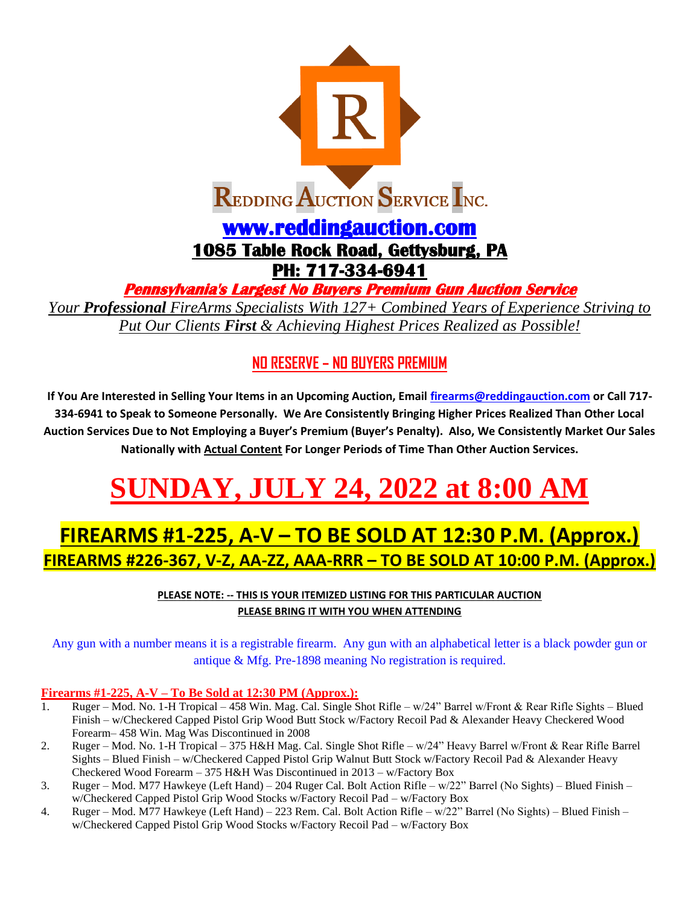

**Pennsylvania's Largest No Buyers Premium Gun Auction Service** 

*Your Professional FireArms Specialists With 127+ Combined Years of Experience Striving to Put Our Clients First & Achieving Highest Prices Realized as Possible!*

### **NO RESERVE – NO BUYERS PREMIUM**

**If You Are Interested in Selling Your Items in an Upcoming Auction, Email [firearms@reddingauction.com](mailto:firearms@reddingauction.com) or Call 717- 334-6941 to Speak to Someone Personally. We Are Consistently Bringing Higher Prices Realized Than Other Local Auction Services Due to Not Employing a Buyer's Premium (Buyer's Penalty). Also, We Consistently Market Our Sales Nationally with Actual Content For Longer Periods of Time Than Other Auction Services.**

# <code>UNDAY, JULY 24, 2022 at 8:00 A</code>

## **FIREARMS #1-225, A-V – TO BE SOLD AT 12:30 P.M. (Approx.) FIREARMS #226-367, V-Z, AA-ZZ, AAA-RRR – TO BE SOLD AT 10:00 P.M. (Approx.)**

**PLEASE NOTE: -- THIS IS YOUR ITEMIZED LISTING FOR THIS PARTICULAR AUCTION PLEASE BRING IT WITH YOU WHEN ATTENDING**

Any gun with a number means it is a registrable firearm. Any gun with an alphabetical letter is a black powder gun or antique & Mfg. Pre-1898 meaning No registration is required.

#### **Firearms #1-225, A-V – To Be Sold at 12:30 PM (Approx.):**

- 1. Ruger Mod. No. 1-H Tropical 458 Win. Mag. Cal. Single Shot Rifle w/24" Barrel w/Front & Rear Rifle Sights Blued Finish – w/Checkered Capped Pistol Grip Wood Butt Stock w/Factory Recoil Pad & Alexander Heavy Checkered Wood Forearm– 458 Win. Mag Was Discontinued in 2008
- 2. Ruger Mod. No. 1-H Tropical 375 H&H Mag. Cal. Single Shot Rifle w/24" Heavy Barrel w/Front & Rear Rifle Barrel Sights – Blued Finish – w/Checkered Capped Pistol Grip Walnut Butt Stock w/Factory Recoil Pad & Alexander Heavy Checkered Wood Forearm – 375 H&H Was Discontinued in 2013 – w/Factory Box
- 3. Ruger Mod. M77 Hawkeye (Left Hand) 204 Ruger Cal. Bolt Action Rifle w/22" Barrel (No Sights) Blued Finish w/Checkered Capped Pistol Grip Wood Stocks w/Factory Recoil Pad – w/Factory Box
- 4. Ruger Mod. M77 Hawkeye (Left Hand) 223 Rem. Cal. Bolt Action Rifle w/22" Barrel (No Sights) Blued Finish w/Checkered Capped Pistol Grip Wood Stocks w/Factory Recoil Pad – w/Factory Box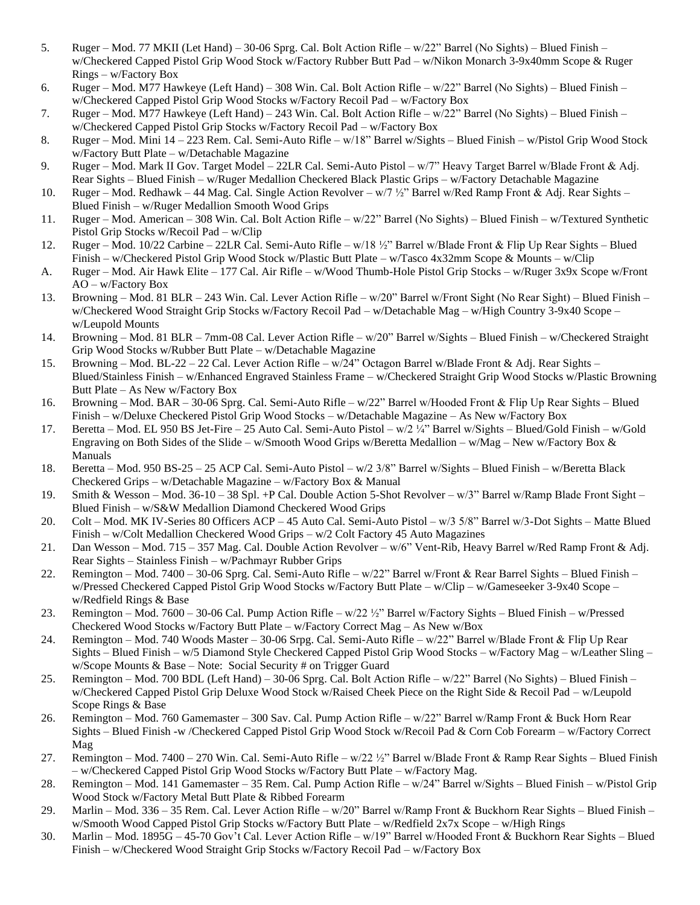- 5. Ruger Mod. 77 MKII (Let Hand) 30-06 Sprg. Cal. Bolt Action Rifle w/22" Barrel (No Sights) Blued Finish w/Checkered Capped Pistol Grip Wood Stock w/Factory Rubber Butt Pad – w/Nikon Monarch 3-9x40mm Scope & Ruger Rings – w/Factory Box
- 6. Ruger Mod. M77 Hawkeye (Left Hand) 308 Win. Cal. Bolt Action Rifle w/22" Barrel (No Sights) Blued Finish w/Checkered Capped Pistol Grip Wood Stocks w/Factory Recoil Pad – w/Factory Box
- 7. Ruger Mod. M77 Hawkeye (Left Hand) 243 Win. Cal. Bolt Action Rifle w/22" Barrel (No Sights) Blued Finish w/Checkered Capped Pistol Grip Stocks w/Factory Recoil Pad – w/Factory Box
- 8. Ruger Mod. Mini 14 223 Rem. Cal. Semi-Auto Rifle w/18" Barrel w/Sights Blued Finish w/Pistol Grip Wood Stock w/Factory Butt Plate – w/Detachable Magazine
- 9. Ruger Mod. Mark II Gov. Target Model 22LR Cal. Semi-Auto Pistol w/7" Heavy Target Barrel w/Blade Front & Adj. Rear Sights – Blued Finish – w/Ruger Medallion Checkered Black Plastic Grips – w/Factory Detachable Magazine
- 10. Ruger Mod. Redhawk 44 Mag. Cal. Single Action Revolver w/7 ½" Barrel w/Red Ramp Front & Adj. Rear Sights Blued Finish – w/Ruger Medallion Smooth Wood Grips
- 11. Ruger Mod. American 308 Win. Cal. Bolt Action Rifle w/22" Barrel (No Sights) Blued Finish w/Textured Synthetic Pistol Grip Stocks w/Recoil Pad – w/Clip
- 12. Ruger Mod. 10/22 Carbine 22LR Cal. Semi-Auto Rifle w/18 ½" Barrel w/Blade Front & Flip Up Rear Sights Blued Finish – w/Checkered Pistol Grip Wood Stock w/Plastic Butt Plate – w/Tasco 4x32mm Scope & Mounts – w/Clip
- A. Ruger Mod. Air Hawk Elite 177 Cal. Air Rifle w/Wood Thumb-Hole Pistol Grip Stocks w/Ruger 3x9x Scope w/Front AO – w/Factory Box
- 13. Browning Mod. 81 BLR 243 Win. Cal. Lever Action Rifle w/20" Barrel w/Front Sight (No Rear Sight) Blued Finish w/Checkered Wood Straight Grip Stocks w/Factory Recoil Pad – w/Detachable Mag – w/High Country 3-9x40 Scope – w/Leupold Mounts
- 14. Browning Mod. 81 BLR 7mm-08 Cal. Lever Action Rifle w/20" Barrel w/Sights Blued Finish w/Checkered Straight Grip Wood Stocks w/Rubber Butt Plate – w/Detachable Magazine
- 15. Browning Mod. BL-22 22 Cal. Lever Action Rifle w/24" Octagon Barrel w/Blade Front & Adj. Rear Sights Blued/Stainless Finish – w/Enhanced Engraved Stainless Frame – w/Checkered Straight Grip Wood Stocks w/Plastic Browning Butt Plate – As New w/Factory Box
- 16. Browning Mod. BAR 30-06 Sprg. Cal. Semi-Auto Rifle w/22" Barrel w/Hooded Front & Flip Up Rear Sights Blued Finish – w/Deluxe Checkered Pistol Grip Wood Stocks – w/Detachable Magazine – As New w/Factory Box
- 17. Beretta Mod. EL 950 BS Jet-Fire 25 Auto Cal. Semi-Auto Pistol w/2 ¼" Barrel w/Sights Blued/Gold Finish w/Gold Engraving on Both Sides of the Slide – w/Smooth Wood Grips w/Beretta Medallion – w/Mag – New w/Factory Box & Manuals
- 18. Beretta Mod. 950 BS-25 25 ACP Cal. Semi-Auto Pistol w/2 3/8" Barrel w/Sights Blued Finish w/Beretta Black Checkered Grips – w/Detachable Magazine – w/Factory Box & Manual
- 19. Smith & Wesson Mod. 36-10 38 Spl. +P Cal. Double Action 5-Shot Revolver w/3" Barrel w/Ramp Blade Front Sight Blued Finish – w/S&W Medallion Diamond Checkered Wood Grips
- 20. Colt Mod. MK IV-Series 80 Officers ACP 45 Auto Cal. Semi-Auto Pistol w/3 5/8" Barrel w/3-Dot Sights Matte Blued Finish – w/Colt Medallion Checkered Wood Grips – w/2 Colt Factory 45 Auto Magazines
- 21. Dan Wesson Mod. 715 357 Mag. Cal. Double Action Revolver w/6" Vent-Rib, Heavy Barrel w/Red Ramp Front & Adj. Rear Sights – Stainless Finish – w/Pachmayr Rubber Grips
- 22. Remington Mod. 7400 30-06 Sprg. Cal. Semi-Auto Rifle w/22" Barrel w/Front & Rear Barrel Sights Blued Finish w/Pressed Checkered Capped Pistol Grip Wood Stocks w/Factory Butt Plate – w/Clip – w/Gameseeker 3-9x40 Scope – w/Redfield Rings & Base
- 23. Remington Mod. 7600 30-06 Cal. Pump Action Rifle w/22 ½" Barrel w/Factory Sights Blued Finish w/Pressed Checkered Wood Stocks w/Factory Butt Plate – w/Factory Correct Mag – As New w/Box
- 24. Remington Mod. 740 Woods Master 30-06 Srpg. Cal. Semi-Auto Rifle w/22" Barrel w/Blade Front & Flip Up Rear Sights – Blued Finish – w/5 Diamond Style Checkered Capped Pistol Grip Wood Stocks – w/Factory Mag – w/Leather Sling – w/Scope Mounts & Base – Note: Social Security # on Trigger Guard
- 25. Remington Mod. 700 BDL (Left Hand) 30-06 Sprg. Cal. Bolt Action Rifle w/22" Barrel (No Sights) Blued Finish w/Checkered Capped Pistol Grip Deluxe Wood Stock w/Raised Cheek Piece on the Right Side & Recoil Pad – w/Leupold Scope Rings & Base
- 26. Remington Mod. 760 Gamemaster 300 Sav. Cal. Pump Action Rifle w/22" Barrel w/Ramp Front & Buck Horn Rear Sights – Blued Finish -w /Checkered Capped Pistol Grip Wood Stock w/Recoil Pad & Corn Cob Forearm – w/Factory Correct Mag
- 27. Remington Mod. 7400 270 Win. Cal. Semi-Auto Rifle  $w/22$   $\frac{1}{2}$ " Barrel w/Blade Front & Ramp Rear Sights Blued Finish – w/Checkered Capped Pistol Grip Wood Stocks w/Factory Butt Plate – w/Factory Mag.
- 28. Remington Mod. 141 Gamemaster 35 Rem. Cal. Pump Action Rifle w/24" Barrel w/Sights Blued Finish w/Pistol Grip Wood Stock w/Factory Metal Butt Plate & Ribbed Forearm
- 29. Marlin Mod. 336 35 Rem. Cal. Lever Action Rifle w/20" Barrel w/Ramp Front & Buckhorn Rear Sights Blued Finish w/Smooth Wood Capped Pistol Grip Stocks w/Factory Butt Plate – w/Redfield 2x7x Scope – w/High Rings
- 30. Marlin Mod. 1895G 45-70 Gov't Cal. Lever Action Rifle w/19" Barrel w/Hooded Front & Buckhorn Rear Sights Blued Finish – w/Checkered Wood Straight Grip Stocks w/Factory Recoil Pad – w/Factory Box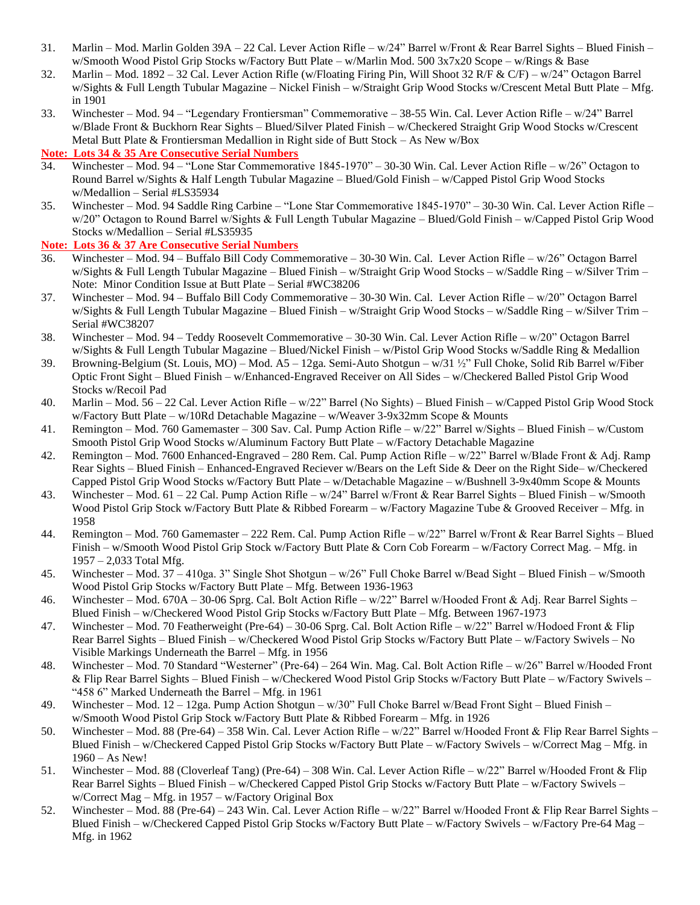- 31. Marlin Mod. Marlin Golden 39A 22 Cal. Lever Action Rifle w/24" Barrel w/Front & Rear Barrel Sights Blued Finish w/Smooth Wood Pistol Grip Stocks w/Factory Butt Plate – w/Marlin Mod. 500 3x7x20 Scope – w/Rings & Base
- 32. Marlin Mod. 1892 32 Cal. Lever Action Rifle (w/Floating Firing Pin, Will Shoot 32 R/F & C/F) w/24" Octagon Barrel w/Sights & Full Length Tubular Magazine – Nickel Finish – w/Straight Grip Wood Stocks w/Crescent Metal Butt Plate – Mfg. in 1901
- 33. Winchester Mod. 94 "Legendary Frontiersman" Commemorative 38-55 Win. Cal. Lever Action Rifle w/24" Barrel w/Blade Front & Buckhorn Rear Sights – Blued/Silver Plated Finish – w/Checkered Straight Grip Wood Stocks w/Crescent Metal Butt Plate & Frontiersman Medallion in Right side of Butt Stock – As New w/Box

**Note: Lots 34 & 35 Are Consecutive Serial Numbers**

- 34. Winchester Mod. 94 "Lone Star Commemorative 1845-1970" 30-30 Win. Cal. Lever Action Rifle w/26" Octagon to Round Barrel w/Sights & Half Length Tubular Magazine – Blued/Gold Finish – w/Capped Pistol Grip Wood Stocks w/Medallion – Serial #LS35934
- 35. Winchester Mod. 94 Saddle Ring Carbine "Lone Star Commemorative 1845-1970" 30-30 Win. Cal. Lever Action Rifle w/20" Octagon to Round Barrel w/Sights & Full Length Tubular Magazine – Blued/Gold Finish – w/Capped Pistol Grip Wood Stocks w/Medallion – Serial #LS35935

#### **Note: Lots 36 & 37 Are Consecutive Serial Numbers**

- 36. Winchester Mod. 94 Buffalo Bill Cody Commemorative 30-30 Win. Cal. Lever Action Rifle w/26" Octagon Barrel w/Sights & Full Length Tubular Magazine – Blued Finish – w/Straight Grip Wood Stocks – w/Saddle Ring – w/Silver Trim – Note: Minor Condition Issue at Butt Plate – Serial #WC38206
- 37. Winchester Mod. 94 Buffalo Bill Cody Commemorative 30-30 Win. Cal. Lever Action Rifle w/20" Octagon Barrel w/Sights & Full Length Tubular Magazine – Blued Finish – w/Straight Grip Wood Stocks – w/Saddle Ring – w/Silver Trim – Serial #WC38207
- 38. Winchester Mod. 94 Teddy Roosevelt Commemorative 30-30 Win. Cal. Lever Action Rifle w/20" Octagon Barrel w/Sights & Full Length Tubular Magazine – Blued/Nickel Finish – w/Pistol Grip Wood Stocks w/Saddle Ring & Medallion
- 39. Browning-Belgium (St. Louis, MO) Mod. A5 12ga. Semi-Auto Shotgun w/31 ½" Full Choke, Solid Rib Barrel w/Fiber Optic Front Sight – Blued Finish – w/Enhanced-Engraved Receiver on All Sides – w/Checkered Balled Pistol Grip Wood Stocks w/Recoil Pad
- 40. Marlin Mod. 56 22 Cal. Lever Action Rifle w/22" Barrel (No Sights) Blued Finish w/Capped Pistol Grip Wood Stock w/Factory Butt Plate – w/10Rd Detachable Magazine – w/Weaver 3-9x32mm Scope & Mounts
- 41. Remington Mod. 760 Gamemaster 300 Sav. Cal. Pump Action Rifle w/22" Barrel w/Sights Blued Finish w/Custom Smooth Pistol Grip Wood Stocks w/Aluminum Factory Butt Plate – w/Factory Detachable Magazine
- 42. Remington Mod. 7600 Enhanced-Engraved 280 Rem. Cal. Pump Action Rifle w/22" Barrel w/Blade Front & Adj. Ramp Rear Sights – Blued Finish – Enhanced-Engraved Reciever w/Bears on the Left Side & Deer on the Right Side– w/Checkered Capped Pistol Grip Wood Stocks w/Factory Butt Plate – w/Detachable Magazine – w/Bushnell 3-9x40mm Scope & Mounts
- 43. Winchester Mod. 61 22 Cal. Pump Action Rifle w/24" Barrel w/Front & Rear Barrel Sights Blued Finish w/Smooth Wood Pistol Grip Stock w/Factory Butt Plate & Ribbed Forearm – w/Factory Magazine Tube & Grooved Receiver – Mfg. in 1958
- 44. Remington Mod. 760 Gamemaster 222 Rem. Cal. Pump Action Rifle w/22" Barrel w/Front & Rear Barrel Sights Blued Finish – w/Smooth Wood Pistol Grip Stock w/Factory Butt Plate & Corn Cob Forearm – w/Factory Correct Mag. – Mfg. in 1957 – 2,033 Total Mfg.
- 45. Winchester Mod. 37 410ga. 3" Single Shot Shotgun w/26" Full Choke Barrel w/Bead Sight Blued Finish w/Smooth Wood Pistol Grip Stocks w/Factory Butt Plate – Mfg. Between 1936-1963
- 46. Winchester Mod. 670A 30-06 Sprg. Cal. Bolt Action Rifle w/22" Barrel w/Hooded Front & Adj. Rear Barrel Sights Blued Finish – w/Checkered Wood Pistol Grip Stocks w/Factory Butt Plate – Mfg. Between 1967-1973
- 47. Winchester Mod. 70 Featherweight (Pre-64) 30-06 Sprg. Cal. Bolt Action Rifle w/22" Barrel w/Hodoed Front & Flip Rear Barrel Sights – Blued Finish – w/Checkered Wood Pistol Grip Stocks w/Factory Butt Plate – w/Factory Swivels – No Visible Markings Underneath the Barrel – Mfg. in 1956
- 48. Winchester Mod. 70 Standard "Westerner" (Pre-64) 264 Win. Mag. Cal. Bolt Action Rifle w/26" Barrel w/Hooded Front & Flip Rear Barrel Sights – Blued Finish – w/Checkered Wood Pistol Grip Stocks w/Factory Butt Plate – w/Factory Swivels – "458 6" Marked Underneath the Barrel – Mfg. in 1961
- 49. Winchester Mod. 12 12ga. Pump Action Shotgun w/30" Full Choke Barrel w/Bead Front Sight Blued Finish w/Smooth Wood Pistol Grip Stock w/Factory Butt Plate & Ribbed Forearm – Mfg. in 1926
- 50. Winchester Mod. 88 (Pre-64) 358 Win. Cal. Lever Action Rifle w/22" Barrel w/Hooded Front & Flip Rear Barrel Sights Blued Finish – w/Checkered Capped Pistol Grip Stocks w/Factory Butt Plate – w/Factory Swivels – w/Correct Mag – Mfg. in 1960 – As New!
- 51. Winchester Mod. 88 (Cloverleaf Tang) (Pre-64) 308 Win. Cal. Lever Action Rifle w/22" Barrel w/Hooded Front & Flip Rear Barrel Sights – Blued Finish – w/Checkered Capped Pistol Grip Stocks w/Factory Butt Plate – w/Factory Swivels – w/Correct Mag – Mfg. in 1957 – w/Factory Original Box
- 52. Winchester Mod. 88 (Pre-64) 243 Win. Cal. Lever Action Rifle w/22" Barrel w/Hooded Front & Flip Rear Barrel Sights Blued Finish – w/Checkered Capped Pistol Grip Stocks w/Factory Butt Plate – w/Factory Swivels – w/Factory Pre-64 Mag – Mfg. in 1962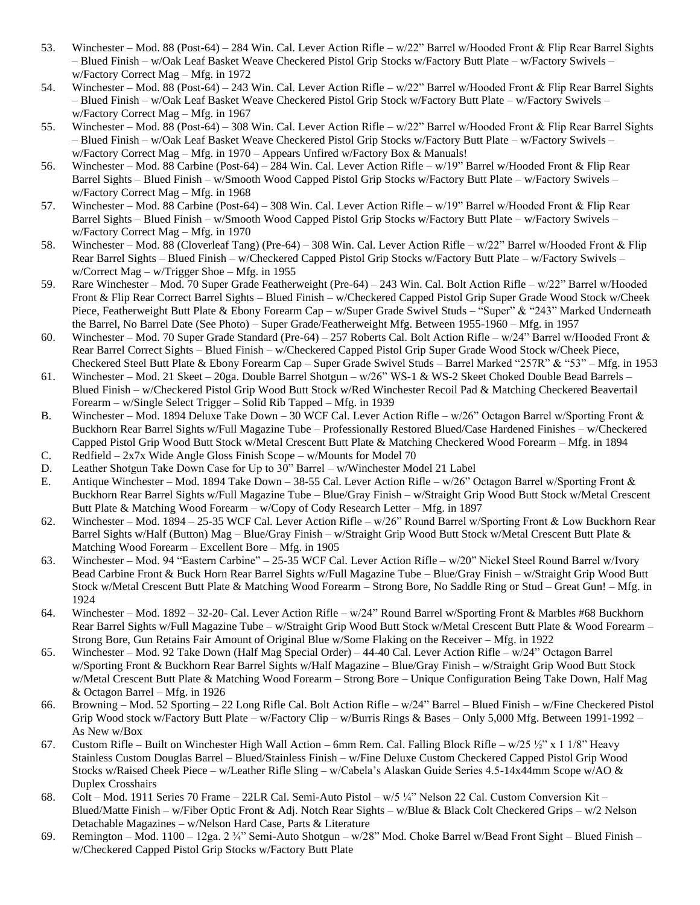- 53. Winchester Mod. 88 (Post-64) 284 Win. Cal. Lever Action Rifle w/22" Barrel w/Hooded Front & Flip Rear Barrel Sights – Blued Finish – w/Oak Leaf Basket Weave Checkered Pistol Grip Stocks w/Factory Butt Plate – w/Factory Swivels – w/Factory Correct Mag – Mfg. in 1972
- 54. Winchester Mod. 88 (Post-64) 243 Win. Cal. Lever Action Rifle w/22" Barrel w/Hooded Front & Flip Rear Barrel Sights – Blued Finish – w/Oak Leaf Basket Weave Checkered Pistol Grip Stock w/Factory Butt Plate – w/Factory Swivels – w/Factory Correct Mag – Mfg. in 1967
- 55. Winchester Mod. 88 (Post-64) 308 Win. Cal. Lever Action Rifle w/22" Barrel w/Hooded Front & Flip Rear Barrel Sights – Blued Finish – w/Oak Leaf Basket Weave Checkered Pistol Grip Stocks w/Factory Butt Plate – w/Factory Swivels – w/Factory Correct Mag – Mfg. in 1970 – Appears Unfired w/Factory Box & Manuals!
- 56. Winchester Mod. 88 Carbine (Post-64) 284 Win. Cal. Lever Action Rifle w/19" Barrel w/Hooded Front & Flip Rear Barrel Sights – Blued Finish – w/Smooth Wood Capped Pistol Grip Stocks w/Factory Butt Plate – w/Factory Swivels – w/Factory Correct Mag – Mfg. in 1968
- 57. Winchester Mod. 88 Carbine (Post-64) 308 Win. Cal. Lever Action Rifle w/19" Barrel w/Hooded Front & Flip Rear Barrel Sights – Blued Finish – w/Smooth Wood Capped Pistol Grip Stocks w/Factory Butt Plate – w/Factory Swivels – w/Factory Correct Mag – Mfg. in 1970
- 58. Winchester Mod. 88 (Cloverleaf Tang) (Pre-64) 308 Win. Cal. Lever Action Rifle w/22" Barrel w/Hooded Front & Flip Rear Barrel Sights – Blued Finish – w/Checkered Capped Pistol Grip Stocks w/Factory Butt Plate – w/Factory Swivels – w/Correct Mag – w/Trigger Shoe – Mfg. in 1955
- 59. Rare Winchester Mod. 70 Super Grade Featherweight (Pre-64) 243 Win. Cal. Bolt Action Rifle w/22" Barrel w/Hooded Front & Flip Rear Correct Barrel Sights – Blued Finish – w/Checkered Capped Pistol Grip Super Grade Wood Stock w/Cheek Piece, Featherweight Butt Plate & Ebony Forearm Cap – w/Super Grade Swivel Studs – "Super" & "243" Marked Underneath the Barrel, No Barrel Date (See Photo) – Super Grade/Featherweight Mfg. Between 1955-1960 – Mfg. in 1957
- 60. Winchester Mod. 70 Super Grade Standard (Pre-64) 257 Roberts Cal. Bolt Action Rifle w/24" Barrel w/Hooded Front & Rear Barrel Correct Sights – Blued Finish – w/Checkered Capped Pistol Grip Super Grade Wood Stock w/Cheek Piece, Checkered Steel Butt Plate & Ebony Forearm Cap – Super Grade Swivel Studs – Barrel Marked "257R" & "53" – Mfg. in 1953
- 61. Winchester Mod. 21 Skeet 20ga. Double Barrel Shotgun w/26" WS-1 & WS-2 Skeet Choked Double Bead Barrels Blued Finish – w/Checkered Pistol Grip Wood Butt Stock w/Red Winchester Recoil Pad & Matching Checkered Beavertail Forearm – w/Single Select Trigger – Solid Rib Tapped – Mfg. in 1939
- B. Winchester Mod. 1894 Deluxe Take Down 30 WCF Cal. Lever Action Rifle w/26" Octagon Barrel w/Sporting Front & Buckhorn Rear Barrel Sights w/Full Magazine Tube – Professionally Restored Blued/Case Hardened Finishes – w/Checkered Capped Pistol Grip Wood Butt Stock w/Metal Crescent Butt Plate & Matching Checkered Wood Forearm – Mfg. in 1894 C. Redfield –  $2x7x$  Wide Angle Gloss Finish Scope – w/Mounts for Model 70
- D. Leather Shotgun Take Down Case for Up to 30" Barrel w/Winchester Model 21 Label
- E. Antique Winchester Mod. 1894 Take Down 38-55 Cal. Lever Action Rifle w/26" Octagon Barrel w/Sporting Front & Buckhorn Rear Barrel Sights w/Full Magazine Tube – Blue/Gray Finish – w/Straight Grip Wood Butt Stock w/Metal Crescent Butt Plate & Matching Wood Forearm – w/Copy of Cody Research Letter – Mfg. in 1897
- 62. Winchester Mod. 1894 25-35 WCF Cal. Lever Action Rifle w/26" Round Barrel w/Sporting Front & Low Buckhorn Rear Barrel Sights w/Half (Button) Mag – Blue/Gray Finish – w/Straight Grip Wood Butt Stock w/Metal Crescent Butt Plate & Matching Wood Forearm – Excellent Bore – Mfg. in 1905
- 63. Winchester Mod. 94 "Eastern Carbine" 25-35 WCF Cal. Lever Action Rifle w/20" Nickel Steel Round Barrel w/Ivory Bead Carbine Front & Buck Horn Rear Barrel Sights w/Full Magazine Tube – Blue/Gray Finish – w/Straight Grip Wood Butt Stock w/Metal Crescent Butt Plate & Matching Wood Forearm – Strong Bore, No Saddle Ring or Stud – Great Gun! – Mfg. in 1924
- 64. Winchester Mod. 1892 32-20- Cal. Lever Action Rifle w/24" Round Barrel w/Sporting Front & Marbles #68 Buckhorn Rear Barrel Sights w/Full Magazine Tube – w/Straight Grip Wood Butt Stock w/Metal Crescent Butt Plate & Wood Forearm – Strong Bore, Gun Retains Fair Amount of Original Blue w/Some Flaking on the Receiver – Mfg. in 1922
- 65. Winchester Mod. 92 Take Down (Half Mag Special Order) 44-40 Cal. Lever Action Rifle w/24" Octagon Barrel w/Sporting Front & Buckhorn Rear Barrel Sights w/Half Magazine – Blue/Gray Finish – w/Straight Grip Wood Butt Stock w/Metal Crescent Butt Plate & Matching Wood Forearm – Strong Bore – Unique Configuration Being Take Down, Half Mag & Octagon Barrel – Mfg. in 1926
- 66. Browning Mod. 52 Sporting 22 Long Rifle Cal. Bolt Action Rifle w/24" Barrel Blued Finish w/Fine Checkered Pistol Grip Wood stock w/Factory Butt Plate – w/Factory Clip – w/Burris Rings & Bases – Only 5,000 Mfg. Between 1991-1992 – As New w/Box
- 67. Custom Rifle Built on Winchester High Wall Action 6mm Rem. Cal. Falling Block Rifle  $w/25 \frac{1}{2}$ " x 1 1/8" Heavy Stainless Custom Douglas Barrel – Blued/Stainless Finish – w/Fine Deluxe Custom Checkered Capped Pistol Grip Wood Stocks w/Raised Cheek Piece – w/Leather Rifle Sling – w/Cabela's Alaskan Guide Series 4.5-14x44mm Scope w/AO & Duplex Crosshairs
- 68. Colt Mod. 1911 Series 70 Frame 22LR Cal. Semi-Auto Pistol w/5 ¼" Nelson 22 Cal. Custom Conversion Kit Blued/Matte Finish – w/Fiber Optic Front & Adj. Notch Rear Sights – w/Blue & Black Colt Checkered Grips – w/2 Nelson Detachable Magazines – w/Nelson Hard Case, Parts & Literature
- 69. Remington Mod. 1100 12ga. 2 ¾" Semi-Auto Shotgun w/28" Mod. Choke Barrel w/Bead Front Sight Blued Finish w/Checkered Capped Pistol Grip Stocks w/Factory Butt Plate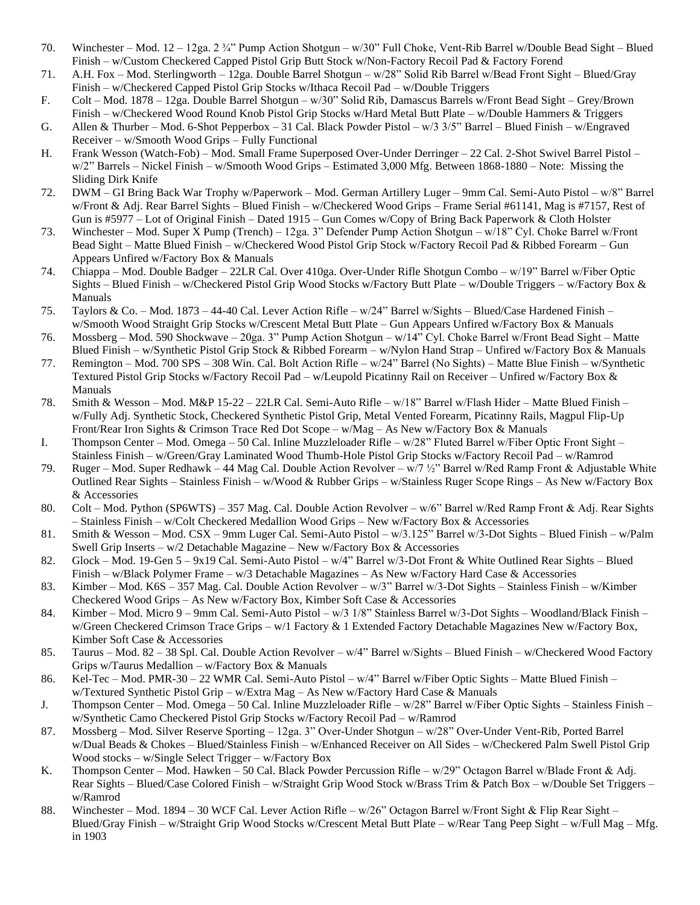- 70. Winchester Mod. 12 12ga. 2 ¾" Pump Action Shotgun w/30" Full Choke, Vent-Rib Barrel w/Double Bead Sight Blued Finish – w/Custom Checkered Capped Pistol Grip Butt Stock w/Non-Factory Recoil Pad & Factory Forend
- 71. A.H. Fox Mod. Sterlingworth 12ga. Double Barrel Shotgun w/28" Solid Rib Barrel w/Bead Front Sight Blued/Gray Finish – w/Checkered Capped Pistol Grip Stocks w/Ithaca Recoil Pad – w/Double Triggers
- F. Colt Mod. 1878 12ga. Double Barrel Shotgun w/30" Solid Rib, Damascus Barrels w/Front Bead Sight Grey/Brown Finish – w/Checkered Wood Round Knob Pistol Grip Stocks w/Hard Metal Butt Plate – w/Double Hammers & Triggers
- G. Allen & Thurber Mod. 6-Shot Pepperbox 31 Cal. Black Powder Pistol w/3 3/5" Barrel Blued Finish w/Engraved Receiver – w/Smooth Wood Grips – Fully Functional
- H. Frank Wesson (Watch-Fob) Mod. Small Frame Superposed Over-Under Derringer 22 Cal. 2-Shot Swivel Barrel Pistol w/2" Barrels – Nickel Finish – w/Smooth Wood Grips – Estimated 3,000 Mfg. Between 1868-1880 – Note: Missing the Sliding Dirk Knife
- 72. DWM GI Bring Back War Trophy w/Paperwork Mod. German Artillery Luger 9mm Cal. Semi-Auto Pistol w/8" Barrel w/Front & Adj. Rear Barrel Sights – Blued Finish – w/Checkered Wood Grips – Frame Serial #61141, Mag is #7157, Rest of Gun is #5977 – Lot of Original Finish – Dated 1915 – Gun Comes w/Copy of Bring Back Paperwork & Cloth Holster
- 73. Winchester Mod. Super X Pump (Trench) 12ga. 3" Defender Pump Action Shotgun w/18" Cyl. Choke Barrel w/Front Bead Sight – Matte Blued Finish – w/Checkered Wood Pistol Grip Stock w/Factory Recoil Pad & Ribbed Forearm – Gun Appears Unfired w/Factory Box & Manuals
- 74. Chiappa Mod. Double Badger 22LR Cal. Over 410ga. Over-Under Rifle Shotgun Combo w/19" Barrel w/Fiber Optic Sights – Blued Finish – w/Checkered Pistol Grip Wood Stocks w/Factory Butt Plate – w/Double Triggers – w/Factory Box & Manuals
- 75. Taylors & Co. Mod. 1873 44-40 Cal. Lever Action Rifle w/24" Barrel w/Sights Blued/Case Hardened Finish w/Smooth Wood Straight Grip Stocks w/Crescent Metal Butt Plate – Gun Appears Unfired w/Factory Box & Manuals
- 76. Mossberg Mod. 590 Shockwave 20ga. 3" Pump Action Shotgun w/14" Cyl. Choke Barrel w/Front Bead Sight Matte Blued Finish – w/Synthetic Pistol Grip Stock & Ribbed Forearm – w/Nylon Hand Strap – Unfired w/Factory Box & Manuals
- 77. Remington Mod. 700 SPS 308 Win. Cal. Bolt Action Rifle w/24" Barrel (No Sights) Matte Blue Finish w/Synthetic Textured Pistol Grip Stocks w/Factory Recoil Pad – w/Leupold Picatinny Rail on Receiver – Unfired w/Factory Box & Manuals
- 78. Smith & Wesson Mod. M&P 15-22 22LR Cal. Semi-Auto Rifle w/18" Barrel w/Flash Hider Matte Blued Finish w/Fully Adj. Synthetic Stock, Checkered Synthetic Pistol Grip, Metal Vented Forearm, Picatinny Rails, Magpul Flip-Up Front/Rear Iron Sights & Crimson Trace Red Dot Scope – w/Mag – As New w/Factory Box & Manuals
- I. Thompson Center Mod. Omega 50 Cal. Inline Muzzleloader Rifle w/28" Fluted Barrel w/Fiber Optic Front Sight Stainless Finish – w/Green/Gray Laminated Wood Thumb-Hole Pistol Grip Stocks w/Factory Recoil Pad – w/Ramrod
- 79. Ruger Mod. Super Redhawk 44 Mag Cal. Double Action Revolver w/7 ½" Barrel w/Red Ramp Front & Adjustable White Outlined Rear Sights – Stainless Finish – w/Wood & Rubber Grips – w/Stainless Ruger Scope Rings – As New w/Factory Box & Accessories
- 80. Colt Mod. Python (SP6WTS) 357 Mag. Cal. Double Action Revolver w/6" Barrel w/Red Ramp Front & Adj. Rear Sights – Stainless Finish – w/Colt Checkered Medallion Wood Grips – New w/Factory Box & Accessories
- 81. Smith & Wesson Mod. CSX 9mm Luger Cal. Semi-Auto Pistol w/3.125" Barrel w/3-Dot Sights Blued Finish w/Palm Swell Grip Inserts – w/2 Detachable Magazine – New w/Factory Box & Accessories
- 82. Glock Mod. 19-Gen 5 9x19 Cal. Semi-Auto Pistol w/4" Barrel w/3-Dot Front & White Outlined Rear Sights Blued Finish – w/Black Polymer Frame – w/3 Detachable Magazines – As New w/Factory Hard Case & Accessories
- 83. Kimber Mod. K6S 357 Mag. Cal. Double Action Revolver w/3" Barrel w/3-Dot Sights Stainless Finish w/Kimber Checkered Wood Grips – As New w/Factory Box, Kimber Soft Case & Accessories
- 84. Kimber Mod. Micro 9 9mm Cal. Semi-Auto Pistol w/3 1/8" Stainless Barrel w/3-Dot Sights Woodland/Black Finish w/Green Checkered Crimson Trace Grips – w/1 Factory & 1 Extended Factory Detachable Magazines New w/Factory Box, Kimber Soft Case & Accessories
- 85. Taurus Mod. 82 38 Spl. Cal. Double Action Revolver w/4" Barrel w/Sights Blued Finish w/Checkered Wood Factory Grips w/Taurus Medallion – w/Factory Box & Manuals
- 86. Kel-Tec Mod. PMR-30 22 WMR Cal. Semi-Auto Pistol w/4" Barrel w/Fiber Optic Sights Matte Blued Finish w/Textured Synthetic Pistol Grip – w/Extra Mag – As New w/Factory Hard Case & Manuals
- J. Thompson Center Mod. Omega 50 Cal. Inline Muzzleloader Rifle w/28" Barrel w/Fiber Optic Sights Stainless Finish w/Synthetic Camo Checkered Pistol Grip Stocks w/Factory Recoil Pad – w/Ramrod
- 87. Mossberg Mod. Silver Reserve Sporting 12ga. 3" Over-Under Shotgun w/28" Over-Under Vent-Rib, Ported Barrel w/Dual Beads & Chokes – Blued/Stainless Finish – w/Enhanced Receiver on All Sides – w/Checkered Palm Swell Pistol Grip Wood stocks – w/Single Select Trigger – w/Factory Box
- K. Thompson Center Mod. Hawken 50 Cal. Black Powder Percussion Rifle w/29" Octagon Barrel w/Blade Front & Adj. Rear Sights – Blued/Case Colored Finish – w/Straight Grip Wood Stock w/Brass Trim & Patch Box – w/Double Set Triggers – w/Ramrod
- 88. Winchester Mod. 1894 30 WCF Cal. Lever Action Rifle w/26" Octagon Barrel w/Front Sight & Flip Rear Sight Blued/Gray Finish – w/Straight Grip Wood Stocks w/Crescent Metal Butt Plate – w/Rear Tang Peep Sight – w/Full Mag – Mfg. in 1903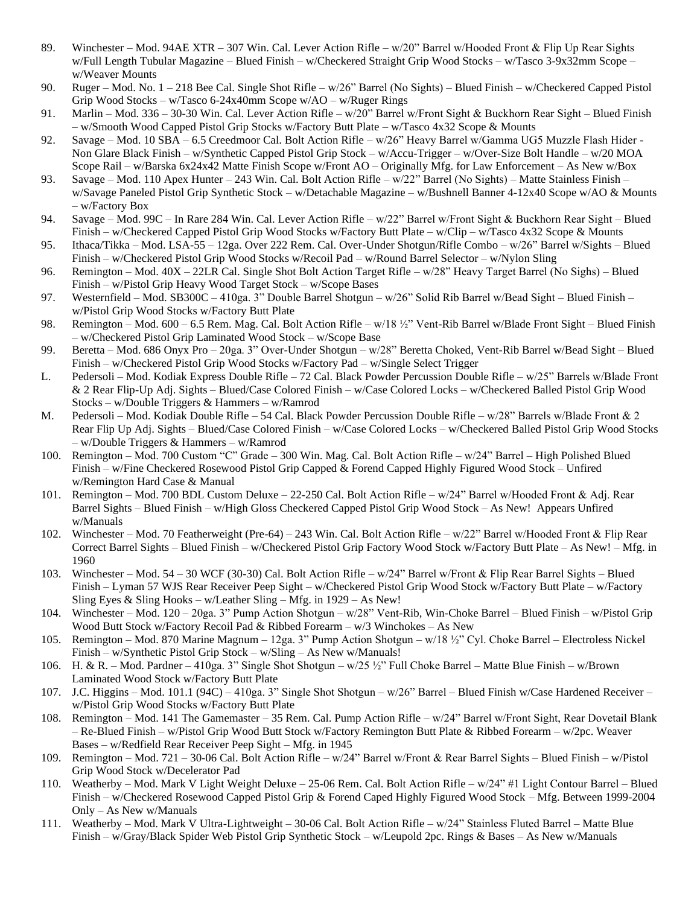- 89. Winchester Mod. 94AE XTR 307 Win. Cal. Lever Action Rifle w/20" Barrel w/Hooded Front & Flip Up Rear Sights w/Full Length Tubular Magazine – Blued Finish – w/Checkered Straight Grip Wood Stocks – w/Tasco 3-9x32mm Scope – w/Weaver Mounts
- 90. Ruger Mod. No. 1 218 Bee Cal. Single Shot Rifle w/26" Barrel (No Sights) Blued Finish w/Checkered Capped Pistol Grip Wood Stocks – w/Tasco 6-24x40mm Scope w/AO – w/Ruger Rings
- 91. Marlin Mod. 336 30-30 Win. Cal. Lever Action Rifle w/20" Barrel w/Front Sight & Buckhorn Rear Sight Blued Finish – w/Smooth Wood Capped Pistol Grip Stocks w/Factory Butt Plate – w/Tasco 4x32 Scope & Mounts
- 92. Savage Mod. 10 SBA 6.5 Creedmoor Cal. Bolt Action Rifle w/26" Heavy Barrel w/Gamma UG5 Muzzle Flash Hider Non Glare Black Finish – w/Synthetic Capped Pistol Grip Stock – w/Accu-Trigger – w/Over-Size Bolt Handle – w/20 MOA Scope Rail – w/Barska 6x24x42 Matte Finish Scope w/Front AO – Originally Mfg. for Law Enforcement – As New w/Box
- 93. Savage Mod. 110 Apex Hunter 243 Win. Cal. Bolt Action Rifle w/22" Barrel (No Sights) Matte Stainless Finish w/Savage Paneled Pistol Grip Synthetic Stock – w/Detachable Magazine – w/Bushnell Banner 4-12x40 Scope w/AO & Mounts – w/Factory Box
- 94. Savage Mod. 99C In Rare 284 Win. Cal. Lever Action Rifle w/22" Barrel w/Front Sight & Buckhorn Rear Sight Blued Finish – w/Checkered Capped Pistol Grip Wood Stocks w/Factory Butt Plate – w/Clip – w/Tasco 4x32 Scope & Mounts
- 95. Ithaca/Tikka Mod. LSA-55 12ga. Over 222 Rem. Cal. Over-Under Shotgun/Rifle Combo w/26" Barrel w/Sights Blued Finish – w/Checkered Pistol Grip Wood Stocks w/Recoil Pad – w/Round Barrel Selector – w/Nylon Sling
- 96. Remington Mod. 40X 22LR Cal. Single Shot Bolt Action Target Rifle w/28" Heavy Target Barrel (No Sighs) Blued Finish – w/Pistol Grip Heavy Wood Target Stock – w/Scope Bases
- 97. Westernfield Mod. SB300C 410ga. 3" Double Barrel Shotgun w/26" Solid Rib Barrel w/Bead Sight Blued Finish w/Pistol Grip Wood Stocks w/Factory Butt Plate
- 98. Remington Mod. 600 6.5 Rem. Mag. Cal. Bolt Action Rifle w/18 ½" Vent-Rib Barrel w/Blade Front Sight Blued Finish – w/Checkered Pistol Grip Laminated Wood Stock – w/Scope Base
- 99. Beretta Mod. 686 Onyx Pro 20ga. 3" Over-Under Shotgun w/28" Beretta Choked, Vent-Rib Barrel w/Bead Sight Blued Finish – w/Checkered Pistol Grip Wood Stocks w/Factory Pad – w/Single Select Trigger
- L. Pedersoli Mod. Kodiak Express Double Rifle 72 Cal. Black Powder Percussion Double Rifle w/25" Barrels w/Blade Front & 2 Rear Flip-Up Adj. Sights – Blued/Case Colored Finish – w/Case Colored Locks – w/Checkered Balled Pistol Grip Wood Stocks – w/Double Triggers & Hammers – w/Ramrod
- M. Pedersoli Mod. Kodiak Double Rifle 54 Cal. Black Powder Percussion Double Rifle w/28" Barrels w/Blade Front & 2 Rear Flip Up Adj. Sights – Blued/Case Colored Finish – w/Case Colored Locks – w/Checkered Balled Pistol Grip Wood Stocks – w/Double Triggers & Hammers – w/Ramrod
- 100. Remington Mod. 700 Custom "C" Grade 300 Win. Mag. Cal. Bolt Action Rifle w/24" Barrel High Polished Blued Finish – w/Fine Checkered Rosewood Pistol Grip Capped & Forend Capped Highly Figured Wood Stock – Unfired w/Remington Hard Case & Manual
- 101. Remington Mod. 700 BDL Custom Deluxe 22-250 Cal. Bolt Action Rifle w/24" Barrel w/Hooded Front & Adj. Rear Barrel Sights – Blued Finish – w/High Gloss Checkered Capped Pistol Grip Wood Stock – As New! Appears Unfired w/Manuals
- 102. Winchester Mod. 70 Featherweight (Pre-64) 243 Win. Cal. Bolt Action Rifle w/22" Barrel w/Hooded Front & Flip Rear Correct Barrel Sights – Blued Finish – w/Checkered Pistol Grip Factory Wood Stock w/Factory Butt Plate – As New! – Mfg. in 1960
- 103. Winchester Mod. 54 30 WCF (30-30) Cal. Bolt Action Rifle w/24" Barrel w/Front & Flip Rear Barrel Sights Blued Finish – Lyman 57 WJS Rear Receiver Peep Sight – w/Checkered Pistol Grip Wood Stock w/Factory Butt Plate – w/Factory Sling Eyes & Sling Hooks – w/Leather Sling – Mfg. in  $1929 - As$  New!
- 104. Winchester Mod. 120 20ga. 3" Pump Action Shotgun w/28" Vent-Rib, Win-Choke Barrel Blued Finish w/Pistol Grip Wood Butt Stock w/Factory Recoil Pad & Ribbed Forearm – w/3 Winchokes – As New
- 105. Remington Mod. 870 Marine Magnum 12ga. 3" Pump Action Shotgun w/18 ½" Cyl. Choke Barrel Electroless Nickel Finish – w/Synthetic Pistol Grip Stock – w/Sling – As New w/Manuals!
- 106. H. & R. Mod. Pardner 410ga. 3" Single Shot Shotgun w/25 ½" Full Choke Barrel Matte Blue Finish w/Brown Laminated Wood Stock w/Factory Butt Plate
- 107. J.C. Higgins Mod. 101.1 (94C) 410ga. 3" Single Shot Shotgun w/26" Barrel Blued Finish w/Case Hardened Receiver w/Pistol Grip Wood Stocks w/Factory Butt Plate
- 108. Remington Mod. 141 The Gamemaster 35 Rem. Cal. Pump Action Rifle w/24" Barrel w/Front Sight, Rear Dovetail Blank – Re-Blued Finish – w/Pistol Grip Wood Butt Stock w/Factory Remington Butt Plate & Ribbed Forearm – w/2pc. Weaver Bases – w/Redfield Rear Receiver Peep Sight – Mfg. in 1945
- 109. Remington Mod. 721 30-06 Cal. Bolt Action Rifle w/24" Barrel w/Front & Rear Barrel Sights Blued Finish w/Pistol Grip Wood Stock w/Decelerator Pad
- 110. Weatherby Mod. Mark V Light Weight Deluxe 25-06 Rem. Cal. Bolt Action Rifle w/24" #1 Light Contour Barrel Blued Finish – w/Checkered Rosewood Capped Pistol Grip & Forend Caped Highly Figured Wood Stock – Mfg. Between 1999-2004 Only – As New w/Manuals
- 111. Weatherby Mod. Mark V Ultra-Lightweight 30-06 Cal. Bolt Action Rifle w/24" Stainless Fluted Barrel Matte Blue Finish – w/Gray/Black Spider Web Pistol Grip Synthetic Stock – w/Leupold 2pc. Rings & Bases – As New w/Manuals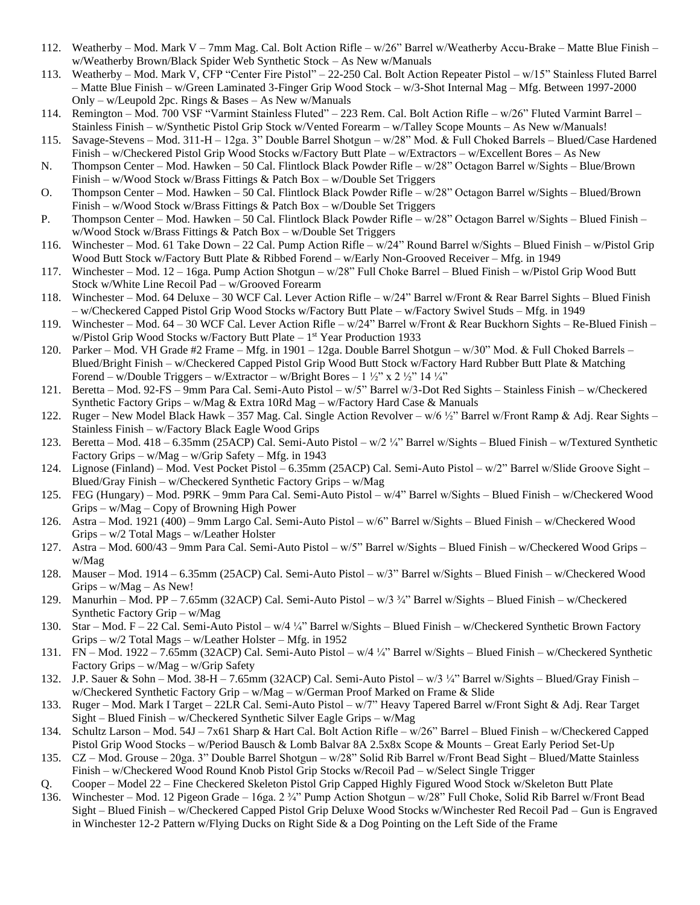- 112. Weatherby Mod. Mark V 7mm Mag. Cal. Bolt Action Rifle w/26" Barrel w/Weatherby Accu-Brake Matte Blue Finish w/Weatherby Brown/Black Spider Web Synthetic Stock – As New w/Manuals
- 113. Weatherby Mod. Mark V, CFP "Center Fire Pistol" 22-250 Cal. Bolt Action Repeater Pistol w/15" Stainless Fluted Barrel – Matte Blue Finish – w/Green Laminated 3-Finger Grip Wood Stock – w/3-Shot Internal Mag – Mfg. Between 1997-2000 Only – w/Leupold 2pc. Rings & Bases – As New w/Manuals
- 114. Remington Mod. 700 VSF "Varmint Stainless Fluted" 223 Rem. Cal. Bolt Action Rifle w/26" Fluted Varmint Barrel Stainless Finish – w/Synthetic Pistol Grip Stock w/Vented Forearm – w/Talley Scope Mounts – As New w/Manuals!
- 115. Savage-Stevens Mod. 311-H 12ga. 3" Double Barrel Shotgun w/28" Mod. & Full Choked Barrels Blued/Case Hardened Finish – w/Checkered Pistol Grip Wood Stocks w/Factory Butt Plate – w/Extractors – w/Excellent Bores – As New
- N. Thompson Center Mod. Hawken 50 Cal. Flintlock Black Powder Rifle w/28" Octagon Barrel w/Sights Blue/Brown Finish – w/Wood Stock w/Brass Fittings & Patch Box – w/Double Set Triggers
- O. Thompson Center Mod. Hawken 50 Cal. Flintlock Black Powder Rifle w/28" Octagon Barrel w/Sights Blued/Brown Finish – w/Wood Stock w/Brass Fittings & Patch Box – w/Double Set Triggers
- P. Thompson Center Mod. Hawken 50 Cal. Flintlock Black Powder Rifle w/28" Octagon Barrel w/Sights Blued Finish w/Wood Stock w/Brass Fittings & Patch Box – w/Double Set Triggers
- 116. Winchester Mod. 61 Take Down 22 Cal. Pump Action Rifle w/24" Round Barrel w/Sights Blued Finish w/Pistol Grip Wood Butt Stock w/Factory Butt Plate & Ribbed Forend – w/Early Non-Grooved Receiver – Mfg. in 1949
- 117. Winchester Mod. 12 16ga. Pump Action Shotgun w/28" Full Choke Barrel Blued Finish w/Pistol Grip Wood Butt Stock w/White Line Recoil Pad – w/Grooved Forearm
- 118. Winchester Mod. 64 Deluxe 30 WCF Cal. Lever Action Rifle w/24" Barrel w/Front & Rear Barrel Sights Blued Finish – w/Checkered Capped Pistol Grip Wood Stocks w/Factory Butt Plate – w/Factory Swivel Studs – Mfg. in 1949
- 119. Winchester Mod. 64 30 WCF Cal. Lever Action Rifle w/24" Barrel w/Front & Rear Buckhorn Sights Re-Blued Finish w/Pistol Grip Wood Stocks w/Factory Butt Plate – 1<sup>st</sup> Year Production 1933
- 120. Parker Mod. VH Grade #2 Frame Mfg. in 1901 12ga. Double Barrel Shotgun w/30" Mod. & Full Choked Barrels Blued/Bright Finish – w/Checkered Capped Pistol Grip Wood Butt Stock w/Factory Hard Rubber Butt Plate & Matching Forend – w/Double Triggers – w/Extractor – w/Bright Bores –  $1 \frac{1}{2}$ " x  $2 \frac{1}{2}$ " 14 ¼"
- 121. Beretta Mod. 92-FS 9mm Para Cal. Semi-Auto Pistol w/5" Barrel w/3-Dot Red Sights Stainless Finish w/Checkered Synthetic Factory Grips – w/Mag & Extra 10Rd Mag – w/Factory Hard Case & Manuals
- 122. Ruger New Model Black Hawk 357 Mag. Cal. Single Action Revolver w/6 ½" Barrel w/Front Ramp & Adj. Rear Sights Stainless Finish – w/Factory Black Eagle Wood Grips
- 123. Beretta Mod. 418 6.35mm (25ACP) Cal. Semi-Auto Pistol w/2 ¼" Barrel w/Sights Blued Finish w/Textured Synthetic Factory Grips – w/Mag – w/Grip Safety – Mfg. in 1943
- 124. Lignose (Finland) Mod. Vest Pocket Pistol 6.35mm (25ACP) Cal. Semi-Auto Pistol w/2" Barrel w/Slide Groove Sight Blued/Gray Finish – w/Checkered Synthetic Factory Grips – w/Mag
- 125. FEG (Hungary) Mod. P9RK 9mm Para Cal. Semi-Auto Pistol w/4" Barrel w/Sights Blued Finish w/Checkered Wood Grips – w/Mag – Copy of Browning High Power
- 126. Astra Mod. 1921 (400) 9mm Largo Cal. Semi-Auto Pistol w/6" Barrel w/Sights Blued Finish w/Checkered Wood Grips – w/2 Total Mags – w/Leather Holster
- 127. Astra Mod. 600/43 9mm Para Cal. Semi-Auto Pistol w/5" Barrel w/Sights Blued Finish w/Checkered Wood Grips w/Mag
- 128. Mauser Mod. 1914 6.35mm (25ACP) Cal. Semi-Auto Pistol w/3" Barrel w/Sights Blued Finish w/Checkered Wood  $Grips - w/Mag - As New!$
- 129. Manurhin Mod. PP 7.65mm (32ACP) Cal. Semi-Auto Pistol w/3 ¾" Barrel w/Sights Blued Finish w/Checkered Synthetic Factory Grip – w/Mag
- 130. Star Mod. F 22 Cal. Semi-Auto Pistol w/4 ¼" Barrel w/Sights Blued Finish w/Checkered Synthetic Brown Factory Grips – w/2 Total Mags – w/Leather Holster – Mfg. in 1952
- 131. FN Mod. 1922 7.65mm (32ACP) Cal. Semi-Auto Pistol w/4 ¼" Barrel w/Sights Blued Finish w/Checkered Synthetic Factory Grips – w/Mag – w/Grip Safety
- 132. J.P. Sauer & Sohn Mod. 38-H 7.65mm (32ACP) Cal. Semi-Auto Pistol w/3 ¼" Barrel w/Sights Blued/Gray Finish w/Checkered Synthetic Factory Grip – w/Mag – w/German Proof Marked on Frame & Slide
- 133. Ruger Mod. Mark I Target 22LR Cal. Semi-Auto Pistol w/7" Heavy Tapered Barrel w/Front Sight & Adj. Rear Target Sight – Blued Finish – w/Checkered Synthetic Silver Eagle Grips – w/Mag
- 134. Schultz Larson Mod. 54J 7x61 Sharp & Hart Cal. Bolt Action Rifle w/26" Barrel Blued Finish w/Checkered Capped Pistol Grip Wood Stocks – w/Period Bausch & Lomb Balvar 8A 2.5x8x Scope & Mounts – Great Early Period Set-Up
- 135. CZ Mod. Grouse 20ga. 3" Double Barrel Shotgun w/28" Solid Rib Barrel w/Front Bead Sight Blued/Matte Stainless Finish – w/Checkered Wood Round Knob Pistol Grip Stocks w/Recoil Pad – w/Select Single Trigger
- Q. Cooper Model 22 Fine Checkered Skeleton Pistol Grip Capped Highly Figured Wood Stock w/Skeleton Butt Plate
- 136. Winchester Mod. 12 Pigeon Grade 16ga. 2 ¾" Pump Action Shotgun w/28" Full Choke, Solid Rib Barrel w/Front Bead Sight – Blued Finish – w/Checkered Capped Pistol Grip Deluxe Wood Stocks w/Winchester Red Recoil Pad – Gun is Engraved in Winchester 12-2 Pattern w/Flying Ducks on Right Side & a Dog Pointing on the Left Side of the Frame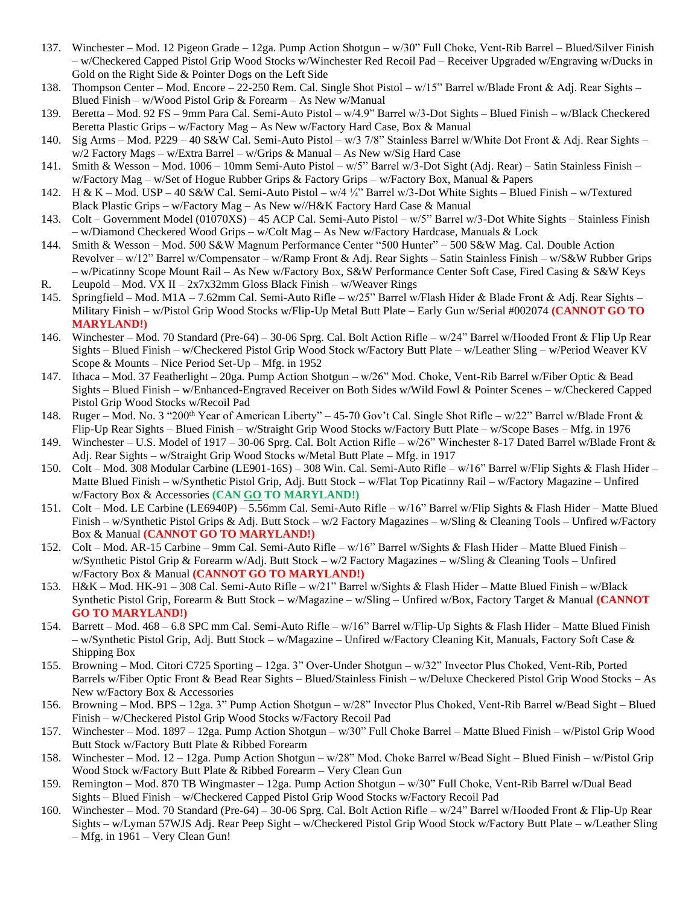- 137. Winchester Mod. 12 Pigeon Grade 12ga. Pump Action Shotgun w/30" Full Choke, Vent-Rib Barrel Blued/Silver Finish – w/Checkered Capped Pistol Grip Wood Stocks w/Winchester Red Recoil Pad – Receiver Upgraded w/Engraving w/Ducks in Gold on the Right Side & Pointer Dogs on the Left Side
- 138. Thompson Center Mod. Encore 22-250 Rem. Cal. Single Shot Pistol w/15" Barrel w/Blade Front & Adj. Rear Sights Blued Finish – w/Wood Pistol Grip & Forearm – As New w/Manual
- 139. Beretta Mod. 92 FS 9mm Para Cal. Semi-Auto Pistol w/4.9" Barrel w/3-Dot Sights Blued Finish w/Black Checkered Beretta Plastic Grips – w/Factory Mag – As New w/Factory Hard Case, Box & Manual
- 140. Sig Arms Mod. P229 40 S&W Cal. Semi-Auto Pistol w/3 7/8" Stainless Barrel w/White Dot Front & Adj. Rear Sights w/2 Factory Mags – w/Extra Barrel – w/Grips & Manual – As New w/Sig Hard Case
- 141. Smith & Wesson Mod. 1006 10mm Semi-Auto Pistol w/5" Barrel w/3-Dot Sight (Adj. Rear) Satin Stainless Finish w/Factory Mag – w/Set of Hogue Rubber Grips & Factory Grips – w/Factory Box, Manual & Papers
- 142. H & K Mod. USP 40 S&W Cal. Semi-Auto Pistol w/4 ¼" Barrel w/3-Dot White Sights Blued Finish w/Textured Black Plastic Grips – w/Factory Mag – As New w//H&K Factory Hard Case & Manual
- 143. Colt Government Model (01070XS) 45 ACP Cal. Semi-Auto Pistol w/5" Barrel w/3-Dot White Sights Stainless Finish – w/Diamond Checkered Wood Grips – w/Colt Mag – As New w/Factory Hardcase, Manuals & Lock
- 144. Smith & Wesson Mod. 500 S&W Magnum Performance Center "500 Hunter" 500 S&W Mag. Cal. Double Action Revolver – w/12" Barrel w/Compensator – w/Ramp Front & Adj. Rear Sights – Satin Stainless Finish – w/S&W Rubber Grips – w/Picatinny Scope Mount Rail – As New w/Factory Box, S&W Performance Center Soft Case, Fired Casing & S&W Keys R. Leupold – Mod. VX II –  $2x7x32mm$  Gloss Black Finish – w/Weaver Rings
- 145. Springfield Mod. M1A 7.62mm Cal. Semi-Auto Rifle w/25" Barrel w/Flash Hider & Blade Front & Adj. Rear Sights Military Finish – w/Pistol Grip Wood Stocks w/Flip-Up Metal Butt Plate – Early Gun w/Serial #002074 **(CANNOT GO TO MARYLAND!)**
- 146. Winchester Mod. 70 Standard (Pre-64) 30-06 Sprg. Cal. Bolt Action Rifle w/24" Barrel w/Hooded Front & Flip Up Rear Sights – Blued Finish – w/Checkered Pistol Grip Wood Stock w/Factory Butt Plate – w/Leather Sling – w/Period Weaver KV Scope & Mounts – Nice Period Set-Up – Mfg. in 1952
- 147. Ithaca Mod. 37 Featherlight 20ga. Pump Action Shotgun w/26" Mod. Choke, Vent-Rib Barrel w/Fiber Optic & Bead Sights – Blued Finish – w/Enhanced-Engraved Receiver on Both Sides w/Wild Fowl & Pointer Scenes – w/Checkered Capped Pistol Grip Wood Stocks w/Recoil Pad
- 148. Ruger Mod. No. 3 "200<sup>th</sup> Year of American Liberty" 45-70 Gov't Cal. Single Shot Rifle w/22" Barrel w/Blade Front & Flip-Up Rear Sights – Blued Finish – w/Straight Grip Wood Stocks w/Factory Butt Plate – w/Scope Bases – Mfg. in 1976
- 149. Winchester U.S. Model of 1917 30-06 Sprg. Cal. Bolt Action Rifle w/26" Winchester 8-17 Dated Barrel w/Blade Front & Adj. Rear Sights – w/Straight Grip Wood Stocks w/Metal Butt Plate – Mfg. in 1917
- 150. Colt Mod. 308 Modular Carbine (LE901-16S) 308 Win. Cal. Semi-Auto Rifle w/16" Barrel w/Flip Sights & Flash Hider Matte Blued Finish – w/Synthetic Pistol Grip, Adj. Butt Stock – w/Flat Top Picatinny Rail – w/Factory Magazine – Unfired w/Factory Box & Accessories **(CAN GO TO MARYLAND!)**
- 151. Colt Mod. LE Carbine (LE6940P) 5.56mm Cal. Semi-Auto Rifle w/16" Barrel w/Flip Sights & Flash Hider Matte Blued Finish – w/Synthetic Pistol Grips & Adj. Butt Stock – w/2 Factory Magazines – w/Sling & Cleaning Tools – Unfired w/Factory Box & Manual **(CANNOT GO TO MARYLAND!)**
- 152. Colt Mod. AR-15 Carbine 9mm Cal. Semi-Auto Rifle w/16" Barrel w/Sights & Flash Hider Matte Blued Finish w/Synthetic Pistol Grip & Forearm w/Adj. Butt Stock – w/2 Factory Magazines – w/Sling & Cleaning Tools – Unfired w/Factory Box & Manual **(CANNOT GO TO MARYLAND!)**
- 153. H&K Mod. HK-91 308 Cal. Semi-Auto Rifle w/21" Barrel w/Sights & Flash Hider Matte Blued Finish w/Black Synthetic Pistol Grip, Forearm & Butt Stock – w/Magazine – w/Sling – Unfired w/Box, Factory Target & Manual **(CANNOT GO TO MARYLAND!)**
- 154. Barrett Mod. 468 6.8 SPC mm Cal. Semi-Auto Rifle w/16" Barrel w/Flip-Up Sights & Flash Hider Matte Blued Finish – w/Synthetic Pistol Grip, Adj. Butt Stock – w/Magazine – Unfired w/Factory Cleaning Kit, Manuals, Factory Soft Case & Shipping Box
- 155. Browning Mod. Citori C725 Sporting 12ga. 3" Over-Under Shotgun w/32" Invector Plus Choked, Vent-Rib, Ported Barrels w/Fiber Optic Front & Bead Rear Sights – Blued/Stainless Finish – w/Deluxe Checkered Pistol Grip Wood Stocks – As New w/Factory Box & Accessories
- 156. Browning Mod. BPS 12ga. 3" Pump Action Shotgun w/28" Invector Plus Choked, Vent-Rib Barrel w/Bead Sight Blued Finish – w/Checkered Pistol Grip Wood Stocks w/Factory Recoil Pad
- 157. Winchester Mod. 1897 12ga. Pump Action Shotgun w/30" Full Choke Barrel Matte Blued Finish w/Pistol Grip Wood Butt Stock w/Factory Butt Plate & Ribbed Forearm
- 158. Winchester Mod. 12 12ga. Pump Action Shotgun w/28" Mod. Choke Barrel w/Bead Sight Blued Finish w/Pistol Grip Wood Stock w/Factory Butt Plate & Ribbed Forearm – Very Clean Gun
- 159. Remington Mod. 870 TB Wingmaster 12ga. Pump Action Shotgun w/30" Full Choke, Vent-Rib Barrel w/Dual Bead Sights – Blued Finish – w/Checkered Capped Pistol Grip Wood Stocks w/Factory Recoil Pad
- 160. Winchester Mod. 70 Standard (Pre-64) 30-06 Sprg. Cal. Bolt Action Rifle w/24" Barrel w/Hooded Front & Flip-Up Rear Sights – w/Lyman 57WJS Adj. Rear Peep Sight – w/Checkered Pistol Grip Wood Stock w/Factory Butt Plate – w/Leather Sling – Mfg. in 1961 – Very Clean Gun!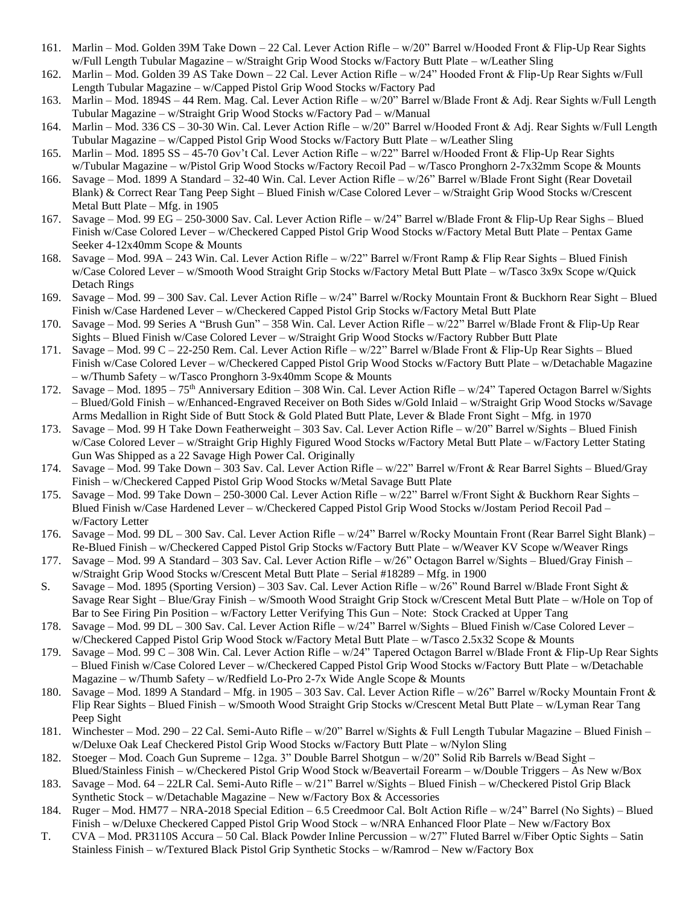- 161. Marlin Mod. Golden 39M Take Down 22 Cal. Lever Action Rifle w/20" Barrel w/Hooded Front & Flip-Up Rear Sights w/Full Length Tubular Magazine – w/Straight Grip Wood Stocks w/Factory Butt Plate – w/Leather Sling
- 162. Marlin Mod. Golden 39 AS Take Down 22 Cal. Lever Action Rifle w/24" Hooded Front & Flip-Up Rear Sights w/Full Length Tubular Magazine – w/Capped Pistol Grip Wood Stocks w/Factory Pad
- 163. Marlin Mod. 1894S 44 Rem. Mag. Cal. Lever Action Rifle w/20" Barrel w/Blade Front & Adj. Rear Sights w/Full Length Tubular Magazine – w/Straight Grip Wood Stocks w/Factory Pad – w/Manual
- 164. Marlin Mod. 336 CS 30-30 Win. Cal. Lever Action Rifle w/20" Barrel w/Hooded Front & Adj. Rear Sights w/Full Length Tubular Magazine – w/Capped Pistol Grip Wood Stocks w/Factory Butt Plate – w/Leather Sling
- 165. Marlin Mod. 1895 SS 45-70 Gov't Cal. Lever Action Rifle w/22" Barrel w/Hooded Front & Flip-Up Rear Sights w/Tubular Magazine – w/Pistol Grip Wood Stocks w/Factory Recoil Pad – w/Tasco Pronghorn 2-7x32mm Scope & Mounts
- 166. Savage Mod. 1899 A Standard 32-40 Win. Cal. Lever Action Rifle w/26" Barrel w/Blade Front Sight (Rear Dovetail Blank) & Correct Rear Tang Peep Sight – Blued Finish w/Case Colored Lever – w/Straight Grip Wood Stocks w/Crescent Metal Butt Plate – Mfg. in 1905
- 167. Savage Mod. 99 EG 250-3000 Sav. Cal. Lever Action Rifle w/24" Barrel w/Blade Front & Flip-Up Rear Sighs Blued Finish w/Case Colored Lever – w/Checkered Capped Pistol Grip Wood Stocks w/Factory Metal Butt Plate – Pentax Game Seeker 4-12x40mm Scope & Mounts
- 168. Savage Mod. 99A 243 Win. Cal. Lever Action Rifle w/22" Barrel w/Front Ramp & Flip Rear Sights Blued Finish w/Case Colored Lever – w/Smooth Wood Straight Grip Stocks w/Factory Metal Butt Plate – w/Tasco 3x9x Scope w/Quick Detach Rings
- 169. Savage Mod. 99 300 Sav. Cal. Lever Action Rifle w/24" Barrel w/Rocky Mountain Front & Buckhorn Rear Sight Blued Finish w/Case Hardened Lever – w/Checkered Capped Pistol Grip Stocks w/Factory Metal Butt Plate
- 170. Savage Mod. 99 Series A "Brush Gun" 358 Win. Cal. Lever Action Rifle w/22" Barrel w/Blade Front & Flip-Up Rear Sights – Blued Finish w/Case Colored Lever – w/Straight Grip Wood Stocks w/Factory Rubber Butt Plate
- 171. Savage Mod. 99 C 22-250 Rem. Cal. Lever Action Rifle w/22" Barrel w/Blade Front & Flip-Up Rear Sights Blued Finish w/Case Colored Lever – w/Checkered Capped Pistol Grip Wood Stocks w/Factory Butt Plate – w/Detachable Magazine – w/Thumb Safety – w/Tasco Pronghorn 3-9x40mm Scope & Mounts
- 172. Savage Mod. 1895 75<sup>th</sup> Anniversary Edition 308 Win. Cal. Lever Action Rifle w/24" Tapered Octagon Barrel w/Sights – Blued/Gold Finish – w/Enhanced-Engraved Receiver on Both Sides w/Gold Inlaid – w/Straight Grip Wood Stocks w/Savage Arms Medallion in Right Side of Butt Stock & Gold Plated Butt Plate, Lever & Blade Front Sight – Mfg. in 1970
- 173. Savage Mod. 99 H Take Down Featherweight 303 Sav. Cal. Lever Action Rifle w/20" Barrel w/Sights Blued Finish w/Case Colored Lever – w/Straight Grip Highly Figured Wood Stocks w/Factory Metal Butt Plate – w/Factory Letter Stating Gun Was Shipped as a 22 Savage High Power Cal. Originally
- 174. Savage Mod. 99 Take Down 303 Sav. Cal. Lever Action Rifle w/22" Barrel w/Front & Rear Barrel Sights Blued/Gray Finish – w/Checkered Capped Pistol Grip Wood Stocks w/Metal Savage Butt Plate
- 175. Savage Mod. 99 Take Down 250-3000 Cal. Lever Action Rifle w/22" Barrel w/Front Sight & Buckhorn Rear Sights Blued Finish w/Case Hardened Lever – w/Checkered Capped Pistol Grip Wood Stocks w/Jostam Period Recoil Pad – w/Factory Letter
- 176. Savage Mod. 99 DL 300 Sav. Cal. Lever Action Rifle w/24" Barrel w/Rocky Mountain Front (Rear Barrel Sight Blank) Re-Blued Finish – w/Checkered Capped Pistol Grip Stocks w/Factory Butt Plate – w/Weaver KV Scope w/Weaver Rings
- 177. Savage Mod. 99 A Standard 303 Sav. Cal. Lever Action Rifle w/26" Octagon Barrel w/Sights Blued/Gray Finish w/Straight Grip Wood Stocks w/Crescent Metal Butt Plate – Serial #18289 – Mfg. in 1900
- S. Savage Mod. 1895 (Sporting Version) 303 Sav. Cal. Lever Action Rifle w/26" Round Barrel w/Blade Front Sight & Savage Rear Sight – Blue/Gray Finish – w/Smooth Wood Straight Grip Stock w/Crescent Metal Butt Plate – w/Hole on Top of Bar to See Firing Pin Position – w/Factory Letter Verifying This Gun – Note: Stock Cracked at Upper Tang
- 178. Savage Mod. 99 DL 300 Sav. Cal. Lever Action Rifle w/24" Barrel w/Sights Blued Finish w/Case Colored Lever w/Checkered Capped Pistol Grip Wood Stock w/Factory Metal Butt Plate – w/Tasco 2.5x32 Scope & Mounts
- 179. Savage Mod. 99 C 308 Win. Cal. Lever Action Rifle w/24" Tapered Octagon Barrel w/Blade Front & Flip-Up Rear Sights – Blued Finish w/Case Colored Lever – w/Checkered Capped Pistol Grip Wood Stocks w/Factory Butt Plate – w/Detachable Magazine – w/Thumb Safety – w/Redfield Lo-Pro 2-7x Wide Angle Scope  $\&$  Mounts
- 180. Savage Mod. 1899 A Standard Mfg. in 1905 303 Sav. Cal. Lever Action Rifle w/26" Barrel w/Rocky Mountain Front & Flip Rear Sights – Blued Finish – w/Smooth Wood Straight Grip Stocks w/Crescent Metal Butt Plate – w/Lyman Rear Tang Peep Sight
- 181. Winchester Mod. 290 22 Cal. Semi-Auto Rifle w/20" Barrel w/Sights & Full Length Tubular Magazine Blued Finish w/Deluxe Oak Leaf Checkered Pistol Grip Wood Stocks w/Factory Butt Plate – w/Nylon Sling
- 182. Stoeger Mod. Coach Gun Supreme 12ga. 3" Double Barrel Shotgun w/20" Solid Rib Barrels w/Bead Sight Blued/Stainless Finish – w/Checkered Pistol Grip Wood Stock w/Beavertail Forearm – w/Double Triggers – As New w/Box
- 183. Savage Mod. 64 22LR Cal. Semi-Auto Rifle w/21" Barrel w/Sights Blued Finish w/Checkered Pistol Grip Black Synthetic Stock – w/Detachable Magazine – New w/Factory Box & Accessories
- 184. Ruger Mod. HM77 NRA-2018 Special Edition 6.5 Creedmoor Cal. Bolt Action Rifle w/24" Barrel (No Sights) Blued Finish – w/Deluxe Checkered Capped Pistol Grip Wood Stock – w/NRA Enhanced Floor Plate – New w/Factory Box
- T. CVA Mod. PR3110S Accura 50 Cal. Black Powder Inline Percussion w/27" Fluted Barrel w/Fiber Optic Sights Satin Stainless Finish – w/Textured Black Pistol Grip Synthetic Stocks – w/Ramrod – New w/Factory Box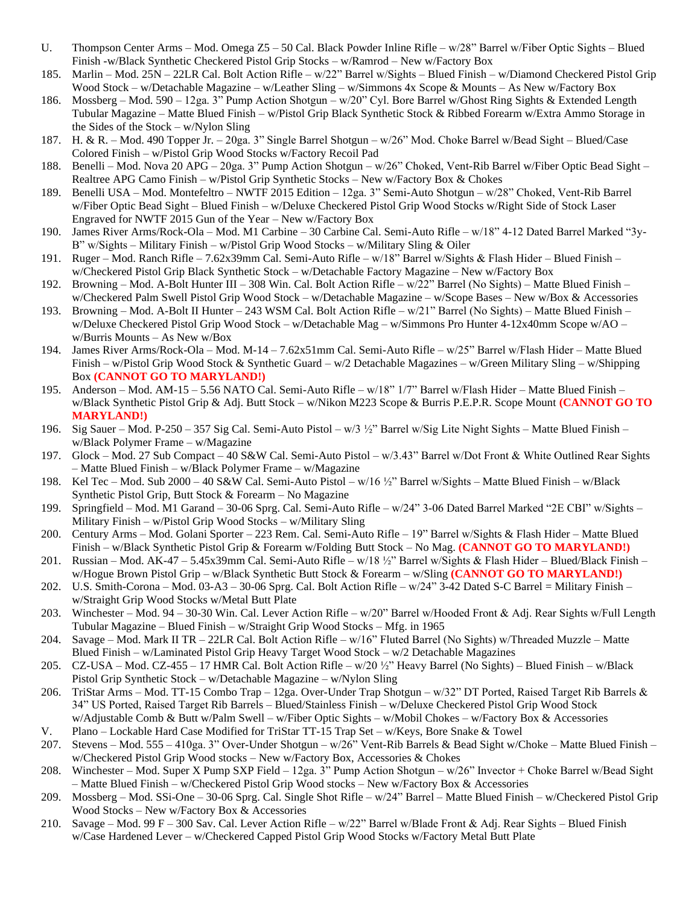- U. Thompson Center Arms Mod. Omega Z5 50 Cal. Black Powder Inline Rifle w/28" Barrel w/Fiber Optic Sights Blued Finish -w/Black Synthetic Checkered Pistol Grip Stocks – w/Ramrod – New w/Factory Box
- 185. Marlin Mod. 25N 22LR Cal. Bolt Action Rifle w/22" Barrel w/Sights Blued Finish w/Diamond Checkered Pistol Grip Wood Stock – w/Detachable Magazine – w/Leather Sling – w/Simmons 4x Scope & Mounts – As New w/Factory Box
- 186. Mossberg Mod. 590 12ga. 3" Pump Action Shotgun w/20" Cyl. Bore Barrel w/Ghost Ring Sights & Extended Length Tubular Magazine – Matte Blued Finish – w/Pistol Grip Black Synthetic Stock & Ribbed Forearm w/Extra Ammo Storage in the Sides of the Stock – w/Nylon Sling
- 187. H. & R. Mod. 490 Topper Jr. 20ga. 3" Single Barrel Shotgun w/26" Mod. Choke Barrel w/Bead Sight Blued/Case Colored Finish – w/Pistol Grip Wood Stocks w/Factory Recoil Pad
- 188. Benelli Mod. Nova 20 APG 20ga. 3" Pump Action Shotgun w/26" Choked, Vent-Rib Barrel w/Fiber Optic Bead Sight Realtree APG Camo Finish – w/Pistol Grip Synthetic Stocks – New w/Factory Box & Chokes
- 189. Benelli USA Mod. Montefeltro NWTF 2015 Edition 12ga. 3" Semi-Auto Shotgun w/28" Choked, Vent-Rib Barrel w/Fiber Optic Bead Sight – Blued Finish – w/Deluxe Checkered Pistol Grip Wood Stocks w/Right Side of Stock Laser Engraved for NWTF 2015 Gun of the Year – New w/Factory Box
- 190. James River Arms/Rock-Ola Mod. M1 Carbine 30 Carbine Cal. Semi-Auto Rifle w/18" 4-12 Dated Barrel Marked "3y-B" w/Sights – Military Finish – w/Pistol Grip Wood Stocks – w/Military Sling & Oiler
- 191. Ruger Mod. Ranch Rifle 7.62x39mm Cal. Semi-Auto Rifle w/18" Barrel w/Sights & Flash Hider Blued Finish w/Checkered Pistol Grip Black Synthetic Stock – w/Detachable Factory Magazine – New w/Factory Box
- 192. Browning Mod. A-Bolt Hunter III 308 Win. Cal. Bolt Action Rifle w/22" Barrel (No Sights) Matte Blued Finish w/Checkered Palm Swell Pistol Grip Wood Stock – w/Detachable Magazine – w/Scope Bases – New w/Box & Accessories
- 193. Browning Mod. A-Bolt II Hunter 243 WSM Cal. Bolt Action Rifle w/21" Barrel (No Sights) Matte Blued Finish w/Deluxe Checkered Pistol Grip Wood Stock – w/Detachable Mag – w/Simmons Pro Hunter 4-12x40mm Scope w/AO – w/Burris Mounts – As New w/Box
- 194. James River Arms/Rock-Ola Mod. M-14 7.62x51mm Cal. Semi-Auto Rifle w/25" Barrel w/Flash Hider Matte Blued Finish – w/Pistol Grip Wood Stock & Synthetic Guard – w/2 Detachable Magazines – w/Green Military Sling – w/Shipping Box **(CANNOT GO TO MARYLAND!)**
- 195. Anderson Mod. AM-15 5.56 NATO Cal. Semi-Auto Rifle w/18" 1/7" Barrel w/Flash Hider Matte Blued Finish w/Black Synthetic Pistol Grip & Adj. Butt Stock – w/Nikon M223 Scope & Burris P.E.P.R. Scope Mount **(CANNOT GO TO MARYLAND!)**
- 196. Sig Sauer Mod. P-250 357 Sig Cal. Semi-Auto Pistol w/3 ½" Barrel w/Sig Lite Night Sights Matte Blued Finish w/Black Polymer Frame – w/Magazine
- 197. Glock Mod. 27 Sub Compact 40 S&W Cal. Semi-Auto Pistol w/3.43" Barrel w/Dot Front & White Outlined Rear Sights – Matte Blued Finish – w/Black Polymer Frame – w/Magazine
- 198. Kel Tec Mod. Sub 2000 40 S&W Cal. Semi-Auto Pistol w/16 ½" Barrel w/Sights Matte Blued Finish w/Black Synthetic Pistol Grip, Butt Stock & Forearm – No Magazine
- 199. Springfield Mod. M1 Garand 30-06 Sprg. Cal. Semi-Auto Rifle w/24" 3-06 Dated Barrel Marked "2E CBI" w/Sights Military Finish – w/Pistol Grip Wood Stocks – w/Military Sling
- 200. Century Arms Mod. Golani Sporter 223 Rem. Cal. Semi-Auto Rifle 19" Barrel w/Sights & Flash Hider Matte Blued Finish – w/Black Synthetic Pistol Grip & Forearm w/Folding Butt Stock – No Mag. **(CANNOT GO TO MARYLAND!)**
- 201. Russian Mod. AK-47 5.45x39mm Cal. Semi-Auto Rifle w/18 ½" Barrel w/Sights & Flash Hider Blued/Black Finish w/Hogue Brown Pistol Grip – w/Black Synthetic Butt Stock & Forearm – w/Sling **(CANNOT GO TO MARYLAND!)**
- 202. U.S. Smith-Corona Mod. 03-A3 30-06 Sprg. Cal. Bolt Action Rifle w/24" 3-42 Dated S-C Barrel = Military Finish w/Straight Grip Wood Stocks w/Metal Butt Plate
- 203. Winchester Mod. 94 30-30 Win. Cal. Lever Action Rifle w/20" Barrel w/Hooded Front & Adj. Rear Sights w/Full Length Tubular Magazine – Blued Finish – w/Straight Grip Wood Stocks – Mfg. in 1965
- 204. Savage Mod. Mark II TR 22LR Cal. Bolt Action Rifle w/16" Fluted Barrel (No Sights) w/Threaded Muzzle Matte Blued Finish – w/Laminated Pistol Grip Heavy Target Wood Stock – w/2 Detachable Magazines
- 205. CZ-USA Mod. CZ-455 17 HMR Cal. Bolt Action Rifle w/20 ½" Heavy Barrel (No Sights) Blued Finish w/Black Pistol Grip Synthetic Stock – w/Detachable Magazine – w/Nylon Sling
- 206. TriStar Arms Mod. TT-15 Combo Trap 12ga. Over-Under Trap Shotgun w/32" DT Ported, Raised Target Rib Barrels & 34" US Ported, Raised Target Rib Barrels – Blued/Stainless Finish – w/Deluxe Checkered Pistol Grip Wood Stock w/Adjustable Comb & Butt w/Palm Swell – w/Fiber Optic Sights – w/Mobil Chokes – w/Factory Box & Accessories
- V. Plano Lockable Hard Case Modified for TriStar TT-15 Trap Set w/Keys, Bore Snake & Towel
- 207. Stevens Mod. 555 410ga. 3" Over-Under Shotgun w/26" Vent-Rib Barrels & Bead Sight w/Choke Matte Blued Finish w/Checkered Pistol Grip Wood stocks – New w/Factory Box, Accessories & Chokes
- 208. Winchester Mod. Super X Pump SXP Field 12ga. 3" Pump Action Shotgun w/26" Invector + Choke Barrel w/Bead Sight – Matte Blued Finish – w/Checkered Pistol Grip Wood stocks – New w/Factory Box & Accessories
- 209. Mossberg Mod. SSi-One 30-06 Sprg. Cal. Single Shot Rifle w/24" Barrel Matte Blued Finish w/Checkered Pistol Grip Wood Stocks – New w/Factory Box & Accessories
- 210. Savage Mod. 99 F 300 Sav. Cal. Lever Action Rifle  $w/22$ " Barrel w/Blade Front & Adj. Rear Sights Blued Finish w/Case Hardened Lever – w/Checkered Capped Pistol Grip Wood Stocks w/Factory Metal Butt Plate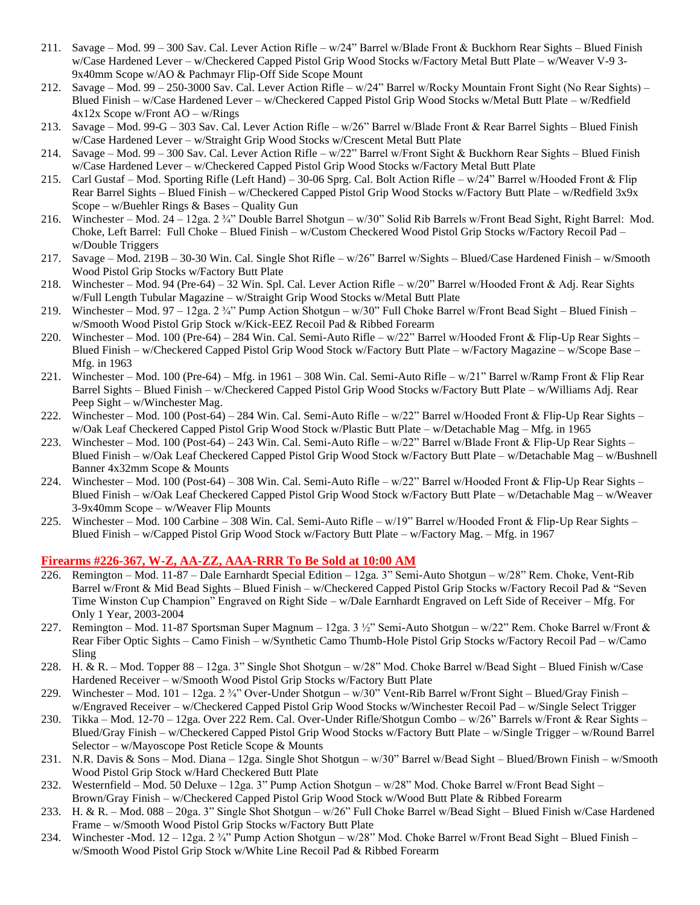- 211. Savage Mod. 99 300 Sav. Cal. Lever Action Rifle w/24" Barrel w/Blade Front & Buckhorn Rear Sights Blued Finish w/Case Hardened Lever – w/Checkered Capped Pistol Grip Wood Stocks w/Factory Metal Butt Plate – w/Weaver V-9 3- 9x40mm Scope w/AO & Pachmayr Flip-Off Side Scope Mount
- 212. Savage Mod. 99 250-3000 Sav. Cal. Lever Action Rifle w/24" Barrel w/Rocky Mountain Front Sight (No Rear Sights) Blued Finish – w/Case Hardened Lever – w/Checkered Capped Pistol Grip Wood Stocks w/Metal Butt Plate – w/Redfield 4x12x Scope w/Front AO – w/Rings
- 213. Savage Mod. 99-G 303 Sav. Cal. Lever Action Rifle w/26" Barrel w/Blade Front & Rear Barrel Sights Blued Finish w/Case Hardened Lever – w/Straight Grip Wood Stocks w/Crescent Metal Butt Plate
- 214. Savage Mod. 99 300 Sav. Cal. Lever Action Rifle  $w/22$ " Barrel w/Front Sight & Buckhorn Rear Sights Blued Finish w/Case Hardened Lever – w/Checkered Capped Pistol Grip Wood Stocks w/Factory Metal Butt Plate
- 215. Carl Gustaf Mod. Sporting Rifle (Left Hand) 30-06 Sprg. Cal. Bolt Action Rifle w/24" Barrel w/Hooded Front & Flip Rear Barrel Sights – Blued Finish – w/Checkered Capped Pistol Grip Wood Stocks w/Factory Butt Plate – w/Redfield 3x9x Scope – w/Buehler Rings & Bases – Quality Gun
- 216. Winchester Mod. 24 12ga. 2 ¾" Double Barrel Shotgun w/30" Solid Rib Barrels w/Front Bead Sight, Right Barrel: Mod. Choke, Left Barrel: Full Choke – Blued Finish – w/Custom Checkered Wood Pistol Grip Stocks w/Factory Recoil Pad – w/Double Triggers
- 217. Savage Mod. 219B 30-30 Win. Cal. Single Shot Rifle w/26" Barrel w/Sights Blued/Case Hardened Finish w/Smooth Wood Pistol Grip Stocks w/Factory Butt Plate
- 218. Winchester Mod. 94 (Pre-64) 32 Win. Spl. Cal. Lever Action Rifle w/20" Barrel w/Hooded Front & Adj. Rear Sights w/Full Length Tubular Magazine – w/Straight Grip Wood Stocks w/Metal Butt Plate
- 219. Winchester Mod. 97 12ga. 2 ¼" Pump Action Shotgun w/30" Full Choke Barrel w/Front Bead Sight Blued Finish w/Smooth Wood Pistol Grip Stock w/Kick-EEZ Recoil Pad & Ribbed Forearm
- 220. Winchester Mod. 100 (Pre-64) 284 Win. Cal. Semi-Auto Rifle w/22" Barrel w/Hooded Front & Flip-Up Rear Sights Blued Finish – w/Checkered Capped Pistol Grip Wood Stock w/Factory Butt Plate – w/Factory Magazine – w/Scope Base – Mfg. in 1963
- 221. Winchester Mod. 100 (Pre-64) Mfg. in 1961 308 Win. Cal. Semi-Auto Rifle w/21" Barrel w/Ramp Front & Flip Rear Barrel Sights – Blued Finish – w/Checkered Capped Pistol Grip Wood Stocks w/Factory Butt Plate – w/Williams Adj. Rear Peep Sight – w/Winchester Mag.
- 222. Winchester Mod. 100 (Post-64) 284 Win. Cal. Semi-Auto Rifle w/22" Barrel w/Hooded Front & Flip-Up Rear Sights w/Oak Leaf Checkered Capped Pistol Grip Wood Stock w/Plastic Butt Plate – w/Detachable Mag – Mfg. in 1965
- 223. Winchester Mod. 100 (Post-64) 243 Win. Cal. Semi-Auto Rifle w/22" Barrel w/Blade Front & Flip-Up Rear Sights Blued Finish – w/Oak Leaf Checkered Capped Pistol Grip Wood Stock w/Factory Butt Plate – w/Detachable Mag – w/Bushnell Banner 4x32mm Scope & Mounts
- 224. Winchester Mod. 100 (Post-64) 308 Win. Cal. Semi-Auto Rifle w/22" Barrel w/Hooded Front & Flip-Up Rear Sights Blued Finish – w/Oak Leaf Checkered Capped Pistol Grip Wood Stock w/Factory Butt Plate – w/Detachable Mag – w/Weaver 3-9x40mm Scope – w/Weaver Flip Mounts
- 225. Winchester Mod. 100 Carbine 308 Win. Cal. Semi-Auto Rifle w/19" Barrel w/Hooded Front & Flip-Up Rear Sights Blued Finish – w/Capped Pistol Grip Wood Stock w/Factory Butt Plate – w/Factory Mag. – Mfg. in 1967

#### **Firearms #226-367, W-Z, AA-ZZ, AAA-RRR To Be Sold at 10:00 AM**

- 226. Remington Mod. 11-87 Dale Earnhardt Special Edition 12ga. 3" Semi-Auto Shotgun w/28" Rem. Choke, Vent-Rib Barrel w/Front & Mid Bead Sights – Blued Finish – w/Checkered Capped Pistol Grip Stocks w/Factory Recoil Pad & "Seven Time Winston Cup Champion" Engraved on Right Side – w/Dale Earnhardt Engraved on Left Side of Receiver – Mfg. For Only 1 Year, 2003-2004
- 227. Remington Mod. 11-87 Sportsman Super Magnum 12ga. 3 ½" Semi-Auto Shotgun w/22" Rem. Choke Barrel w/Front & Rear Fiber Optic Sights – Camo Finish – w/Synthetic Camo Thumb-Hole Pistol Grip Stocks w/Factory Recoil Pad – w/Camo Sling
- 228. H. & R. Mod. Topper 88 12ga. 3" Single Shot Shotgun w/28" Mod. Choke Barrel w/Bead Sight Blued Finish w/Case Hardened Receiver – w/Smooth Wood Pistol Grip Stocks w/Factory Butt Plate
- 229. Winchester Mod. 101 12ga. 2 ¼" Over-Under Shotgun w/30" Vent-Rib Barrel w/Front Sight Blued/Gray Finish w/Engraved Receiver – w/Checkered Capped Pistol Grip Wood Stocks w/Winchester Recoil Pad – w/Single Select Trigger
- 230. Tikka Mod. 12-70 12ga. Over 222 Rem. Cal. Over-Under Rifle/Shotgun Combo w/26" Barrels w/Front & Rear Sights Blued/Gray Finish – w/Checkered Capped Pistol Grip Wood Stocks w/Factory Butt Plate – w/Single Trigger – w/Round Barrel Selector – w/Mayoscope Post Reticle Scope & Mounts
- 231. N.R. Davis & Sons Mod. Diana 12ga. Single Shot Shotgun w/30" Barrel w/Bead Sight Blued/Brown Finish w/Smooth Wood Pistol Grip Stock w/Hard Checkered Butt Plate
- 232. Westernfield Mod. 50 Deluxe 12ga. 3" Pump Action Shotgun w/28" Mod. Choke Barrel w/Front Bead Sight Brown/Gray Finish – w/Checkered Capped Pistol Grip Wood Stock w/Wood Butt Plate & Ribbed Forearm
- 233. H. & R. Mod. 088 20ga. 3" Single Shot Shotgun w/26" Full Choke Barrel w/Bead Sight Blued Finish w/Case Hardened Frame – w/Smooth Wood Pistol Grip Stocks w/Factory Butt Plate
- 234. Winchester -Mod.  $12 12ga$ .  $2 \frac{3}{4}$ " Pump Action Shotgun w/28" Mod. Choke Barrel w/Front Bead Sight Blued Finish w/Smooth Wood Pistol Grip Stock w/White Line Recoil Pad & Ribbed Forearm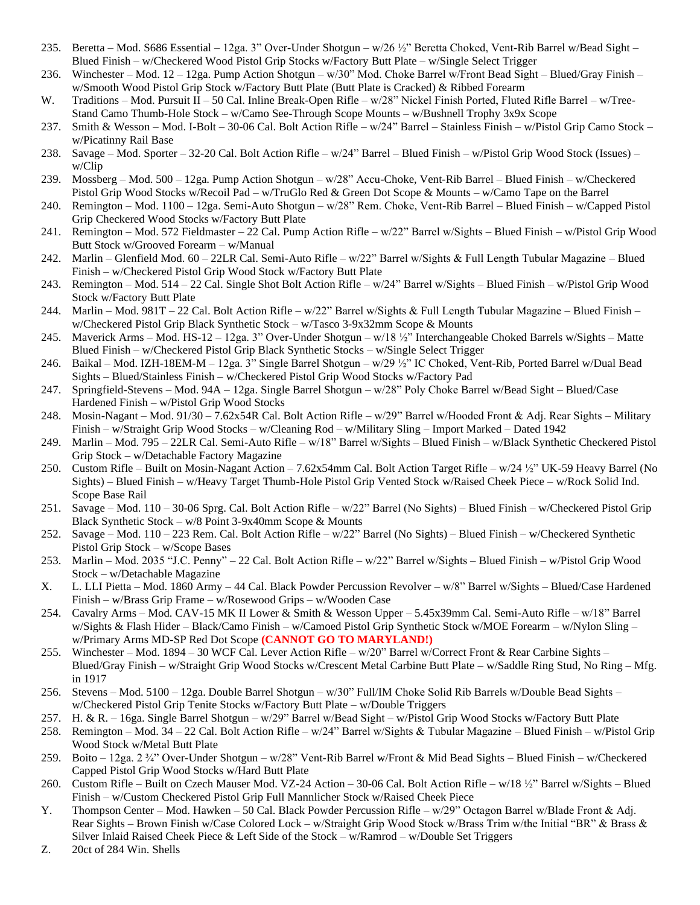- 235. Beretta Mod. S686 Essential 12ga. 3" Over-Under Shotgun w/26 ½" Beretta Choked, Vent-Rib Barrel w/Bead Sight Blued Finish – w/Checkered Wood Pistol Grip Stocks w/Factory Butt Plate – w/Single Select Trigger
- 236. Winchester Mod. 12 12ga. Pump Action Shotgun w/30" Mod. Choke Barrel w/Front Bead Sight Blued/Gray Finish w/Smooth Wood Pistol Grip Stock w/Factory Butt Plate (Butt Plate is Cracked) & Ribbed Forearm
- W. Traditions Mod. Pursuit II 50 Cal. Inline Break-Open Rifle w/28" Nickel Finish Ported, Fluted Rifle Barrel w/Tree-Stand Camo Thumb-Hole Stock – w/Camo See-Through Scope Mounts – w/Bushnell Trophy 3x9x Scope
- 237. Smith & Wesson Mod. I-Bolt 30-06 Cal. Bolt Action Rifle w/24" Barrel Stainless Finish w/Pistol Grip Camo Stock w/Picatinny Rail Base
- 238. Savage Mod. Sporter 32-20 Cal. Bolt Action Rifle w/24" Barrel Blued Finish w/Pistol Grip Wood Stock (Issues) w/Clip
- 239. Mossberg Mod. 500 12ga. Pump Action Shotgun w/28" Accu-Choke, Vent-Rib Barrel Blued Finish w/Checkered Pistol Grip Wood Stocks w/Recoil Pad – w/TruGlo Red & Green Dot Scope & Mounts – w/Camo Tape on the Barrel
- 240. Remington Mod. 1100 12ga. Semi-Auto Shotgun w/28" Rem. Choke, Vent-Rib Barrel Blued Finish w/Capped Pistol Grip Checkered Wood Stocks w/Factory Butt Plate
- 241. Remington Mod. 572 Fieldmaster 22 Cal. Pump Action Rifle w/22" Barrel w/Sights Blued Finish w/Pistol Grip Wood Butt Stock w/Grooved Forearm – w/Manual
- 242. Marlin Glenfield Mod. 60 22LR Cal. Semi-Auto Rifle w/22" Barrel w/Sights & Full Length Tubular Magazine Blued Finish – w/Checkered Pistol Grip Wood Stock w/Factory Butt Plate
- 243. Remington Mod. 514 22 Cal. Single Shot Bolt Action Rifle w/24" Barrel w/Sights Blued Finish w/Pistol Grip Wood Stock w/Factory Butt Plate
- 244. Marlin Mod. 981T 22 Cal. Bolt Action Rifle  $w/22$ " Barrel w/Sights & Full Length Tubular Magazine Blued Finish w/Checkered Pistol Grip Black Synthetic Stock – w/Tasco 3-9x32mm Scope & Mounts
- 245. Maverick Arms Mod. HS-12 12ga. 3" Over-Under Shotgun w/18 ½" Interchangeable Choked Barrels w/Sights Matte Blued Finish – w/Checkered Pistol Grip Black Synthetic Stocks – w/Single Select Trigger
- 246. Baikal Mod. IZH-18EM-M 12ga. 3" Single Barrel Shotgun w/29 ½" IC Choked, Vent-Rib, Ported Barrel w/Dual Bead Sights – Blued/Stainless Finish – w/Checkered Pistol Grip Wood Stocks w/Factory Pad
- 247. Springfield-Stevens Mod. 94A 12ga. Single Barrel Shotgun w/28" Poly Choke Barrel w/Bead Sight Blued/Case Hardened Finish – w/Pistol Grip Wood Stocks
- 248. Mosin-Nagant Mod. 91/30 7.62x54R Cal. Bolt Action Rifle w/29" Barrel w/Hooded Front & Adj. Rear Sights Military Finish – w/Straight Grip Wood Stocks – w/Cleaning Rod – w/Military Sling – Import Marked – Dated 1942
- 249. Marlin Mod. 795 22LR Cal. Semi-Auto Rifle w/18" Barrel w/Sights Blued Finish w/Black Synthetic Checkered Pistol Grip Stock – w/Detachable Factory Magazine
- 250. Custom Rifle Built on Mosin-Nagant Action 7.62x54mm Cal. Bolt Action Target Rifle w/24 ½" UK-59 Heavy Barrel (No Sights) – Blued Finish – w/Heavy Target Thumb-Hole Pistol Grip Vented Stock w/Raised Cheek Piece – w/Rock Solid Ind. Scope Base Rail
- 251. Savage Mod. 110 30-06 Sprg. Cal. Bolt Action Rifle w/22" Barrel (No Sights) Blued Finish w/Checkered Pistol Grip Black Synthetic Stock – w/8 Point 3-9x40mm Scope & Mounts
- 252. Savage Mod. 110 223 Rem. Cal. Bolt Action Rifle w/22" Barrel (No Sights) Blued Finish w/Checkered Synthetic Pistol Grip Stock – w/Scope Bases
- 253. Marlin Mod. 2035 "J.C. Penny" 22 Cal. Bolt Action Rifle w/22" Barrel w/Sights Blued Finish w/Pistol Grip Wood Stock – w/Detachable Magazine
- X. L. LLI Pietta Mod. 1860 Army 44 Cal. Black Powder Percussion Revolver w/8" Barrel w/Sights Blued/Case Hardened Finish – w/Brass Grip Frame – w/Rosewood Grips – w/Wooden Case
- 254. Cavalry Arms Mod. CAV-15 MK II Lower & Smith & Wesson Upper 5.45x39mm Cal. Semi-Auto Rifle w/18" Barrel w/Sights & Flash Hider – Black/Camo Finish – w/Camoed Pistol Grip Synthetic Stock w/MOE Forearm – w/Nylon Sling – w/Primary Arms MD-SP Red Dot Scope **(CANNOT GO TO MARYLAND!)**
- 255. Winchester Mod. 1894 30 WCF Cal. Lever Action Rifle w/20" Barrel w/Correct Front & Rear Carbine Sights Blued/Gray Finish – w/Straight Grip Wood Stocks w/Crescent Metal Carbine Butt Plate – w/Saddle Ring Stud, No Ring – Mfg. in 1917
- 256. Stevens Mod. 5100 12ga. Double Barrel Shotgun w/30" Full/IM Choke Solid Rib Barrels w/Double Bead Sights w/Checkered Pistol Grip Tenite Stocks w/Factory Butt Plate – w/Double Triggers
- 257. H. & R. 16ga. Single Barrel Shotgun w/29" Barrel w/Bead Sight w/Pistol Grip Wood Stocks w/Factory Butt Plate
- 258. Remington Mod. 34 22 Cal. Bolt Action Rifle w/24" Barrel w/Sights & Tubular Magazine Blued Finish w/Pistol Grip Wood Stock w/Metal Butt Plate
- 259. Boito 12ga. 2 ¾" Over-Under Shotgun w/28" Vent-Rib Barrel w/Front & Mid Bead Sights Blued Finish w/Checkered Capped Pistol Grip Wood Stocks w/Hard Butt Plate
- 260. Custom Rifle Built on Czech Mauser Mod. VZ-24 Action 30-06 Cal. Bolt Action Rifle w/18 ½" Barrel w/Sights Blued Finish – w/Custom Checkered Pistol Grip Full Mannlicher Stock w/Raised Cheek Piece
- Y. Thompson Center Mod. Hawken 50 Cal. Black Powder Percussion Rifle w/29" Octagon Barrel w/Blade Front & Adj. Rear Sights – Brown Finish w/Case Colored Lock – w/Straight Grip Wood Stock w/Brass Trim w/the Initial "BR" & Brass & Silver Inlaid Raised Cheek Piece & Left Side of the Stock – w/Ramrod – w/Double Set Triggers
- Z. 20ct of 284 Win. Shells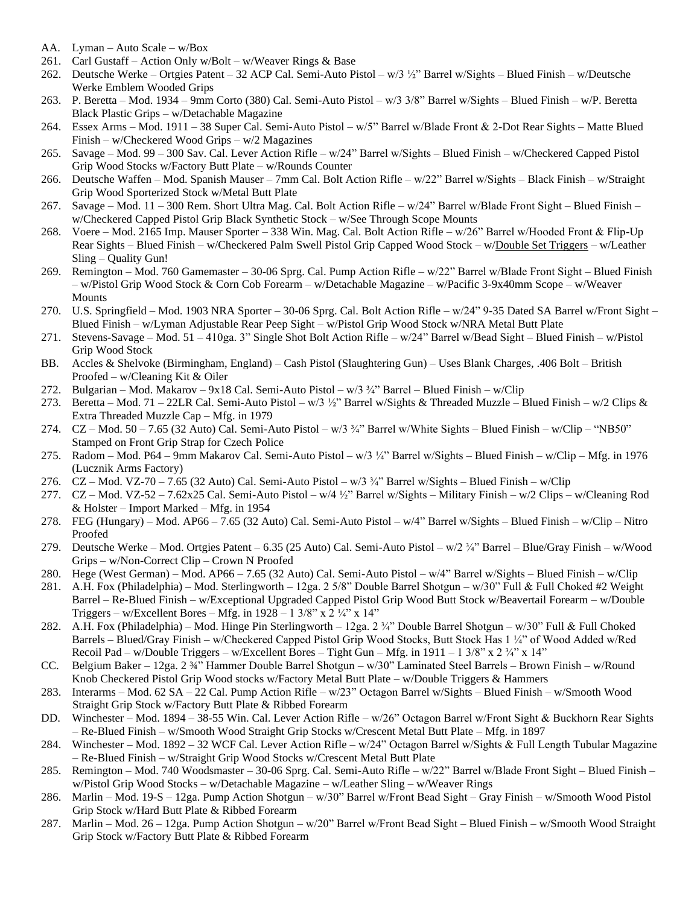- AA. Lyman Auto Scale w/Box
- 261. Carl Gustaff Action Only w/Bolt w/Weaver Rings & Base
- 262. Deutsche Werke Ortgies Patent 32 ACP Cal. Semi-Auto Pistol w/3 ½" Barrel w/Sights Blued Finish w/Deutsche Werke Emblem Wooded Grips
- 263. P. Beretta Mod. 1934 9mm Corto (380) Cal. Semi-Auto Pistol w/3 3/8" Barrel w/Sights Blued Finish w/P. Beretta Black Plastic Grips – w/Detachable Magazine
- 264. Essex Arms Mod. 1911 38 Super Cal. Semi-Auto Pistol w/5" Barrel w/Blade Front & 2-Dot Rear Sights Matte Blued Finish – w/Checkered Wood Grips – w/2 Magazines
- 265. Savage Mod. 99 300 Sav. Cal. Lever Action Rifle w/24" Barrel w/Sights Blued Finish w/Checkered Capped Pistol Grip Wood Stocks w/Factory Butt Plate – w/Rounds Counter
- 266. Deutsche Waffen Mod. Spanish Mauser 7mm Cal. Bolt Action Rifle w/22" Barrel w/Sights Black Finish w/Straight Grip Wood Sporterized Stock w/Metal Butt Plate
- 267. Savage Mod. 11 300 Rem. Short Ultra Mag. Cal. Bolt Action Rifle w/24" Barrel w/Blade Front Sight Blued Finish w/Checkered Capped Pistol Grip Black Synthetic Stock – w/See Through Scope Mounts
- 268. Voere Mod. 2165 Imp. Mauser Sporter 338 Win. Mag. Cal. Bolt Action Rifle w/26" Barrel w/Hooded Front & Flip-Up Rear Sights – Blued Finish – w/Checkered Palm Swell Pistol Grip Capped Wood Stock – w/Double Set Triggers – w/Leather Sling – Quality Gun!
- 269. Remington Mod. 760 Gamemaster 30-06 Sprg. Cal. Pump Action Rifle w/22" Barrel w/Blade Front Sight Blued Finish – w/Pistol Grip Wood Stock & Corn Cob Forearm – w/Detachable Magazine – w/Pacific 3-9x40mm Scope – w/Weaver Mounts
- 270. U.S. Springfield Mod. 1903 NRA Sporter 30-06 Sprg. Cal. Bolt Action Rifle w/24" 9-35 Dated SA Barrel w/Front Sight Blued Finish – w/Lyman Adjustable Rear Peep Sight – w/Pistol Grip Wood Stock w/NRA Metal Butt Plate
- 271. Stevens-Savage Mod. 51 410ga. 3" Single Shot Bolt Action Rifle w/24" Barrel w/Bead Sight Blued Finish w/Pistol Grip Wood Stock
- BB. Accles & Shelvoke (Birmingham, England) Cash Pistol (Slaughtering Gun) Uses Blank Charges, .406 Bolt British Proofed – w/Cleaning Kit & Oiler
- 272. Bulgarian Mod. Makarov 9x18 Cal. Semi-Auto Pistol w/3 ¾" Barrel Blued Finish w/Clip
- 273. Beretta Mod. 71 22LR Cal. Semi-Auto Pistol w/3 ½" Barrel w/Sights & Threaded Muzzle Blued Finish w/2 Clips & Extra Threaded Muzzle Cap – Mfg. in 1979
- 274. CZ Mod. 50 7.65 (32 Auto) Cal. Semi-Auto Pistol w/3 ¾" Barrel w/White Sights Blued Finish w/Clip "NB50" Stamped on Front Grip Strap for Czech Police
- 275. Radom Mod. P64 9mm Makarov Cal. Semi-Auto Pistol w/3 ¼" Barrel w/Sights Blued Finish w/Clip Mfg. in 1976 (Lucznik Arms Factory)
- 276. CZ Mod. VZ-70 7.65 (32 Auto) Cal. Semi-Auto Pistol w/3 ¾" Barrel w/Sights Blued Finish w/Clip
- 277. CZ Mod. VZ-52 7.62x25 Cal. Semi-Auto Pistol w/4 ½" Barrel w/Sights Military Finish w/2 Clips w/Cleaning Rod & Holster – Import Marked – Mfg. in 1954
- 278. FEG (Hungary) Mod. AP66 7.65 (32 Auto) Cal. Semi-Auto Pistol w/4" Barrel w/Sights Blued Finish w/Clip Nitro Proofed
- 279. Deutsche Werke Mod. Ortgies Patent 6.35 (25 Auto) Cal. Semi-Auto Pistol w/2 ¾" Barrel Blue/Gray Finish w/Wood Grips – w/Non-Correct Clip – Crown N Proofed
- 280. Hege (West German) Mod. AP66 7.65 (32 Auto) Cal. Semi-Auto Pistol w/4" Barrel w/Sights Blued Finish w/Clip
- 281. A.H. Fox (Philadelphia) Mod. Sterlingworth 12ga. 2 5/8" Double Barrel Shotgun w/30" Full & Full Choked #2 Weight Barrel – Re-Blued Finish – w/Exceptional Upgraded Capped Pistol Grip Wood Butt Stock w/Beavertail Forearm – w/Double Triggers – w/Excellent Bores – Mfg. in  $1928 - 13/8$ " x  $2\frac{1}{4}$ " x  $14$ "
- 282. A.H. Fox (Philadelphia) Mod. Hinge Pin Sterlingworth 12ga. 2 ¾" Double Barrel Shotgun w/30" Full & Full Choked Barrels – Blued/Gray Finish – w/Checkered Capped Pistol Grip Wood Stocks, Butt Stock Has 1 ¼" of Wood Added w/Red Recoil Pad – w/Double Triggers – w/Excellent Bores – Tight Gun – Mfg. in 1911 – 1 3/8" x 2  $\frac{3}{4}$ " x 14"
- CC. Belgium Baker 12ga. 2 ¾" Hammer Double Barrel Shotgun w/30" Laminated Steel Barrels Brown Finish w/Round Knob Checkered Pistol Grip Wood stocks w/Factory Metal Butt Plate – w/Double Triggers & Hammers
- 283. Interarms Mod. 62 SA 22 Cal. Pump Action Rifle w/23" Octagon Barrel w/Sights Blued Finish w/Smooth Wood Straight Grip Stock w/Factory Butt Plate & Ribbed Forearm
- DD. Winchester Mod. 1894 38-55 Win. Cal. Lever Action Rifle w/26" Octagon Barrel w/Front Sight & Buckhorn Rear Sights – Re-Blued Finish – w/Smooth Wood Straight Grip Stocks w/Crescent Metal Butt Plate – Mfg. in 1897
- 284. Winchester Mod. 1892 32 WCF Cal. Lever Action Rifle w/24" Octagon Barrel w/Sights & Full Length Tubular Magazine – Re-Blued Finish – w/Straight Grip Wood Stocks w/Crescent Metal Butt Plate
- 285. Remington Mod. 740 Woodsmaster 30-06 Sprg. Cal. Semi-Auto Rifle w/22" Barrel w/Blade Front Sight Blued Finish w/Pistol Grip Wood Stocks – w/Detachable Magazine – w/Leather Sling – w/Weaver Rings
- 286. Marlin Mod. 19-S 12ga. Pump Action Shotgun w/30" Barrel w/Front Bead Sight Gray Finish w/Smooth Wood Pistol Grip Stock w/Hard Butt Plate & Ribbed Forearm
- 287. Marlin Mod. 26 12ga. Pump Action Shotgun w/20" Barrel w/Front Bead Sight Blued Finish w/Smooth Wood Straight Grip Stock w/Factory Butt Plate & Ribbed Forearm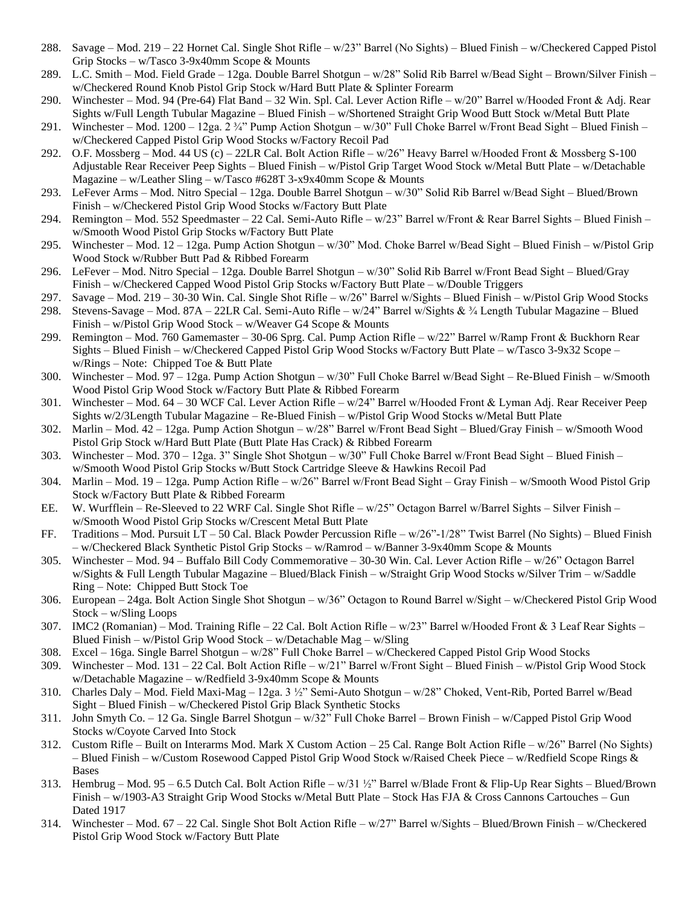- 288. Savage Mod. 219 22 Hornet Cal. Single Shot Rifle w/23" Barrel (No Sights) Blued Finish w/Checkered Capped Pistol Grip Stocks – w/Tasco 3-9x40mm Scope & Mounts
- 289. L.C. Smith Mod. Field Grade 12ga. Double Barrel Shotgun w/28" Solid Rib Barrel w/Bead Sight Brown/Silver Finish w/Checkered Round Knob Pistol Grip Stock w/Hard Butt Plate & Splinter Forearm
- 290. Winchester Mod. 94 (Pre-64) Flat Band 32 Win. Spl. Cal. Lever Action Rifle w/20" Barrel w/Hooded Front & Adj. Rear Sights w/Full Length Tubular Magazine – Blued Finish – w/Shortened Straight Grip Wood Butt Stock w/Metal Butt Plate
- 291. Winchester Mod. 1200 12ga. 2 ¾" Pump Action Shotgun w/30" Full Choke Barrel w/Front Bead Sight Blued Finish w/Checkered Capped Pistol Grip Wood Stocks w/Factory Recoil Pad
- 292. O.F. Mossberg Mod. 44 US (c) 22LR Cal. Bolt Action Rifle w/26" Heavy Barrel w/Hooded Front & Mossberg S-100 Adjustable Rear Receiver Peep Sights – Blued Finish – w/Pistol Grip Target Wood Stock w/Metal Butt Plate – w/Detachable Magazine – w/Leather Sling – w/Tasco #628T 3-x9x40mm Scope & Mounts
- 293. LeFever Arms Mod. Nitro Special 12ga. Double Barrel Shotgun w/30" Solid Rib Barrel w/Bead Sight Blued/Brown Finish – w/Checkered Pistol Grip Wood Stocks w/Factory Butt Plate
- 294. Remington Mod. 552 Speedmaster 22 Cal. Semi-Auto Rifle w/23" Barrel w/Front & Rear Barrel Sights Blued Finish w/Smooth Wood Pistol Grip Stocks w/Factory Butt Plate
- 295. Winchester Mod. 12 12ga. Pump Action Shotgun w/30" Mod. Choke Barrel w/Bead Sight Blued Finish w/Pistol Grip Wood Stock w/Rubber Butt Pad & Ribbed Forearm
- 296. LeFever Mod. Nitro Special 12ga. Double Barrel Shotgun w/30" Solid Rib Barrel w/Front Bead Sight Blued/Gray Finish – w/Checkered Capped Wood Pistol Grip Stocks w/Factory Butt Plate – w/Double Triggers
- 297. Savage Mod. 219 30-30 Win. Cal. Single Shot Rifle w/26" Barrel w/Sights Blued Finish w/Pistol Grip Wood Stocks
- 298. Stevens-Savage Mod. 87A 22LR Cal. Semi-Auto Rifle w/24" Barrel w/Sights &  $\frac{3}{4}$  Length Tubular Magazine Blued Finish – w/Pistol Grip Wood Stock – w/Weaver G4 Scope & Mounts
- 299. Remington Mod. 760 Gamemaster 30-06 Sprg. Cal. Pump Action Rifle w/22" Barrel w/Ramp Front & Buckhorn Rear Sights – Blued Finish – w/Checkered Capped Pistol Grip Wood Stocks w/Factory Butt Plate – w/Tasco 3-9x32 Scope – w/Rings – Note: Chipped Toe & Butt Plate
- 300. Winchester Mod. 97 12ga. Pump Action Shotgun w/30" Full Choke Barrel w/Bead Sight Re-Blued Finish w/Smooth Wood Pistol Grip Wood Stock w/Factory Butt Plate & Ribbed Forearm
- 301. Winchester Mod. 64 30 WCF Cal. Lever Action Rifle w/24" Barrel w/Hooded Front & Lyman Adj. Rear Receiver Peep Sights w/2/3Length Tubular Magazine – Re-Blued Finish – w/Pistol Grip Wood Stocks w/Metal Butt Plate
- 302. Marlin Mod. 42 12ga. Pump Action Shotgun w/28" Barrel w/Front Bead Sight Blued/Gray Finish w/Smooth Wood Pistol Grip Stock w/Hard Butt Plate (Butt Plate Has Crack) & Ribbed Forearm
- 303. Winchester Mod. 370 12ga. 3" Single Shot Shotgun w/30" Full Choke Barrel w/Front Bead Sight Blued Finish w/Smooth Wood Pistol Grip Stocks w/Butt Stock Cartridge Sleeve & Hawkins Recoil Pad
- 304. Marlin Mod. 19 12ga. Pump Action Rifle w/26" Barrel w/Front Bead Sight Gray Finish w/Smooth Wood Pistol Grip Stock w/Factory Butt Plate & Ribbed Forearm
- EE. W. Wurfflein Re-Sleeved to 22 WRF Cal. Single Shot Rifle w/25" Octagon Barrel w/Barrel Sights Silver Finish w/Smooth Wood Pistol Grip Stocks w/Crescent Metal Butt Plate
- FF. Traditions Mod. Pursuit LT 50 Cal. Black Powder Percussion Rifle w/26"-1/28" Twist Barrel (No Sights) Blued Finish – w/Checkered Black Synthetic Pistol Grip Stocks – w/Ramrod – w/Banner 3-9x40mm Scope & Mounts
- 305. Winchester Mod. 94 Buffalo Bill Cody Commemorative 30-30 Win. Cal. Lever Action Rifle w/26" Octagon Barrel w/Sights & Full Length Tubular Magazine – Blued/Black Finish – w/Straight Grip Wood Stocks w/Silver Trim – w/Saddle Ring – Note: Chipped Butt Stock Toe
- 306. European 24ga. Bolt Action Single Shot Shotgun w/36" Octagon to Round Barrel w/Sight w/Checkered Pistol Grip Wood Stock – w/Sling Loops
- 307. IMC2 (Romanian) Mod. Training Rifle 22 Cal. Bolt Action Rifle w/23" Barrel w/Hooded Front & 3 Leaf Rear Sights Blued Finish – w/Pistol Grip Wood Stock – w/Detachable Mag – w/Sling
- 308. Excel 16ga. Single Barrel Shotgun w/28" Full Choke Barrel w/Checkered Capped Pistol Grip Wood Stocks
- 309. Winchester Mod. 131 22 Cal. Bolt Action Rifle w/21" Barrel w/Front Sight Blued Finish w/Pistol Grip Wood Stock w/Detachable Magazine – w/Redfield 3-9x40mm Scope & Mounts
- 310. Charles Daly Mod. Field Maxi-Mag 12ga. 3 ½" Semi-Auto Shotgun w/28" Choked, Vent-Rib, Ported Barrel w/Bead Sight – Blued Finish – w/Checkered Pistol Grip Black Synthetic Stocks
- 311. John Smyth Co. 12 Ga. Single Barrel Shotgun w/32" Full Choke Barrel Brown Finish w/Capped Pistol Grip Wood Stocks w/Coyote Carved Into Stock
- 312. Custom Rifle Built on Interarms Mod. Mark X Custom Action 25 Cal. Range Bolt Action Rifle w/26" Barrel (No Sights) – Blued Finish – w/Custom Rosewood Capped Pistol Grip Wood Stock w/Raised Cheek Piece – w/Redfield Scope Rings & Bases
- 313. Hembrug Mod. 95 6.5 Dutch Cal. Bolt Action Rifle w/31 ½" Barrel w/Blade Front & Flip-Up Rear Sights Blued/Brown Finish – w/1903-A3 Straight Grip Wood Stocks w/Metal Butt Plate – Stock Has FJA & Cross Cannons Cartouches – Gun Dated 1917
- 314. Winchester Mod. 67 22 Cal. Single Shot Bolt Action Rifle w/27" Barrel w/Sights Blued/Brown Finish w/Checkered Pistol Grip Wood Stock w/Factory Butt Plate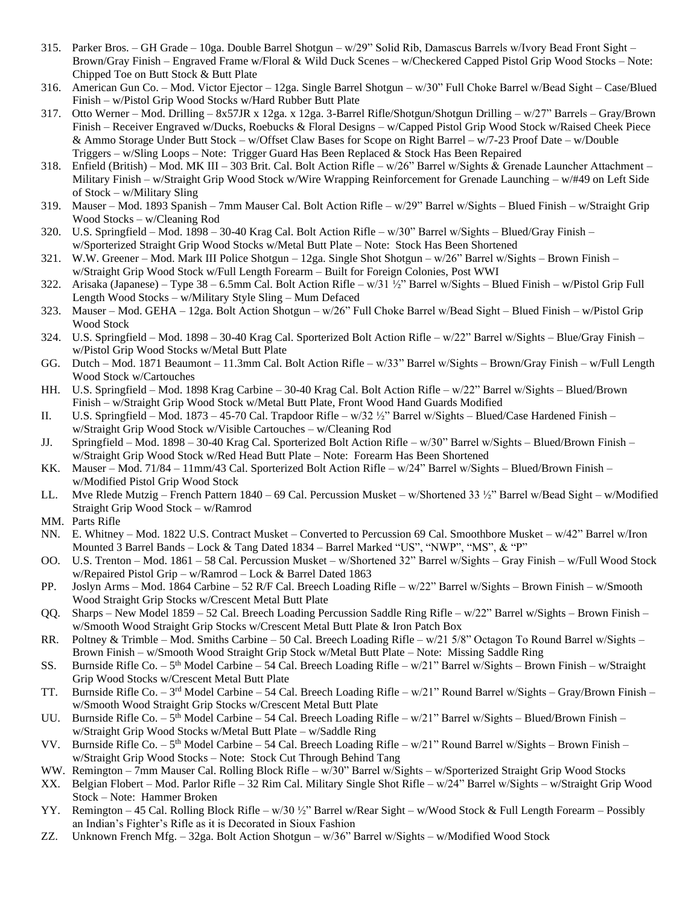- 315. Parker Bros. GH Grade 10ga. Double Barrel Shotgun w/29" Solid Rib, Damascus Barrels w/Ivory Bead Front Sight Brown/Gray Finish – Engraved Frame w/Floral & Wild Duck Scenes – w/Checkered Capped Pistol Grip Wood Stocks – Note: Chipped Toe on Butt Stock & Butt Plate
- 316. American Gun Co. Mod. Victor Ejector 12ga. Single Barrel Shotgun w/30" Full Choke Barrel w/Bead Sight Case/Blued Finish – w/Pistol Grip Wood Stocks w/Hard Rubber Butt Plate
- 317. Otto Werner Mod. Drilling 8x57JR x 12ga. x 12ga. 3-Barrel Rifle/Shotgun/Shotgun Drilling w/27" Barrels Gray/Brown Finish – Receiver Engraved w/Ducks, Roebucks & Floral Designs – w/Capped Pistol Grip Wood Stock w/Raised Cheek Piece & Ammo Storage Under Butt Stock – w/Offset Claw Bases for Scope on Right Barrel – w/7-23 Proof Date – w/Double Triggers – w/Sling Loops – Note: Trigger Guard Has Been Replaced & Stock Has Been Repaired
- 318. Enfield (British) Mod. MK III 303 Brit. Cal. Bolt Action Rifle w/26" Barrel w/Sights & Grenade Launcher Attachment Military Finish – w/Straight Grip Wood Stock w/Wire Wrapping Reinforcement for Grenade Launching – w/#49 on Left Side of Stock – w/Military Sling
- 319. Mauser Mod. 1893 Spanish 7mm Mauser Cal. Bolt Action Rifle w/29" Barrel w/Sights Blued Finish w/Straight Grip Wood Stocks – w/Cleaning Rod
- 320. U.S. Springfield Mod. 1898 30-40 Krag Cal. Bolt Action Rifle w/30" Barrel w/Sights Blued/Gray Finish w/Sporterized Straight Grip Wood Stocks w/Metal Butt Plate – Note: Stock Has Been Shortened
- 321. W.W. Greener Mod. Mark III Police Shotgun 12ga. Single Shot Shotgun w/26" Barrel w/Sights Brown Finish w/Straight Grip Wood Stock w/Full Length Forearm – Built for Foreign Colonies, Post WWI
- 322. Arisaka (Japanese) Type 38 6.5mm Cal. Bolt Action Rifle w/31 ½" Barrel w/Sights Blued Finish w/Pistol Grip Full Length Wood Stocks – w/Military Style Sling – Mum Defaced
- 323. Mauser Mod. GEHA 12ga. Bolt Action Shotgun w/26" Full Choke Barrel w/Bead Sight Blued Finish w/Pistol Grip Wood Stock
- 324. U.S. Springfield Mod. 1898 30-40 Krag Cal. Sporterized Bolt Action Rifle w/22" Barrel w/Sights Blue/Gray Finish w/Pistol Grip Wood Stocks w/Metal Butt Plate
- GG. Dutch Mod. 1871 Beaumont 11.3mm Cal. Bolt Action Rifle w/33" Barrel w/Sights Brown/Gray Finish w/Full Length Wood Stock w/Cartouches
- HH. U.S. Springfield Mod. 1898 Krag Carbine 30-40 Krag Cal. Bolt Action Rifle w/22" Barrel w/Sights Blued/Brown Finish – w/Straight Grip Wood Stock w/Metal Butt Plate, Front Wood Hand Guards Modified
- II. U.S. Springfield Mod. 1873 45-70 Cal. Trapdoor Rifle w/32 ½" Barrel w/Sights Blued/Case Hardened Finish w/Straight Grip Wood Stock w/Visible Cartouches – w/Cleaning Rod
- JJ. Springfield Mod. 1898 30-40 Krag Cal. Sporterized Bolt Action Rifle w/30" Barrel w/Sights Blued/Brown Finish w/Straight Grip Wood Stock w/Red Head Butt Plate – Note: Forearm Has Been Shortened
- KK. Mauser Mod. 71/84 11mm/43 Cal. Sporterized Bolt Action Rifle w/24" Barrel w/Sights Blued/Brown Finish w/Modified Pistol Grip Wood Stock
- LL. Mve Rlede Mutzig French Pattern 1840 69 Cal. Percussion Musket w/Shortened 33 ½" Barrel w/Bead Sight w/Modified Straight Grip Wood Stock – w/Ramrod
- MM. Parts Rifle
- NN. E. Whitney Mod. 1822 U.S. Contract Musket Converted to Percussion 69 Cal. Smoothbore Musket w/42" Barrel w/Iron Mounted 3 Barrel Bands – Lock & Tang Dated 1834 – Barrel Marked "US", "NWP", "MS", & "P"
- OO. U.S. Trenton Mod. 1861 58 Cal. Percussion Musket w/Shortened 32" Barrel w/Sights Gray Finish w/Full Wood Stock w/Repaired Pistol Grip – w/Ramrod – Lock & Barrel Dated 1863
- PP. Joslyn Arms Mod. 1864 Carbine 52 R/F Cal. Breech Loading Rifle w/22" Barrel w/Sights Brown Finish w/Smooth Wood Straight Grip Stocks w/Crescent Metal Butt Plate
- QQ. Sharps New Model 1859 52 Cal. Breech Loading Percussion Saddle Ring Rifle w/22" Barrel w/Sights Brown Finish w/Smooth Wood Straight Grip Stocks w/Crescent Metal Butt Plate & Iron Patch Box
- RR. Poltney & Trimble Mod. Smiths Carbine 50 Cal. Breech Loading Rifle w/21 5/8" Octagon To Round Barrel w/Sights Brown Finish – w/Smooth Wood Straight Grip Stock w/Metal Butt Plate – Note: Missing Saddle Ring
- SS. Burnside Rifle Co. 5<sup>th</sup> Model Carbine 54 Cal. Breech Loading Rifle w/21" Barrel w/Sights Brown Finish w/Straight Grip Wood Stocks w/Crescent Metal Butt Plate
- TT. Burnside Rifle Co. 3<sup>rd</sup> Model Carbine 54 Cal. Breech Loading Rifle w/21" Round Barrel w/Sights Gray/Brown Finish w/Smooth Wood Straight Grip Stocks w/Crescent Metal Butt Plate
- UU. Burnside Rifle Co. 5<sup>th</sup> Model Carbine 54 Cal. Breech Loading Rifle w/21" Barrel w/Sights Blued/Brown Finish w/Straight Grip Wood Stocks w/Metal Butt Plate – w/Saddle Ring
- VV. Burnside Rifle Co.  $5<sup>th</sup>$  Model Carbine 54 Cal. Breech Loading Rifle w/21" Round Barrel w/Sights Brown Finish w/Straight Grip Wood Stocks – Note: Stock Cut Through Behind Tang
- WW. Remington 7mm Mauser Cal. Rolling Block Rifle w/30" Barrel w/Sights w/Sporterized Straight Grip Wood Stocks
- XX. Belgian Flobert Mod. Parlor Rifle 32 Rim Cal. Military Single Shot Rifle w/24" Barrel w/Sights w/Straight Grip Wood Stock – Note: Hammer Broken
- YY. Remington 45 Cal. Rolling Block Rifle w/30 ½" Barrel w/Rear Sight w/Wood Stock & Full Length Forearm Possibly an Indian's Fighter's Rifle as it is Decorated in Sioux Fashion
- ZZ. Unknown French Mfg. 32ga. Bolt Action Shotgun w/36" Barrel w/Sights w/Modified Wood Stock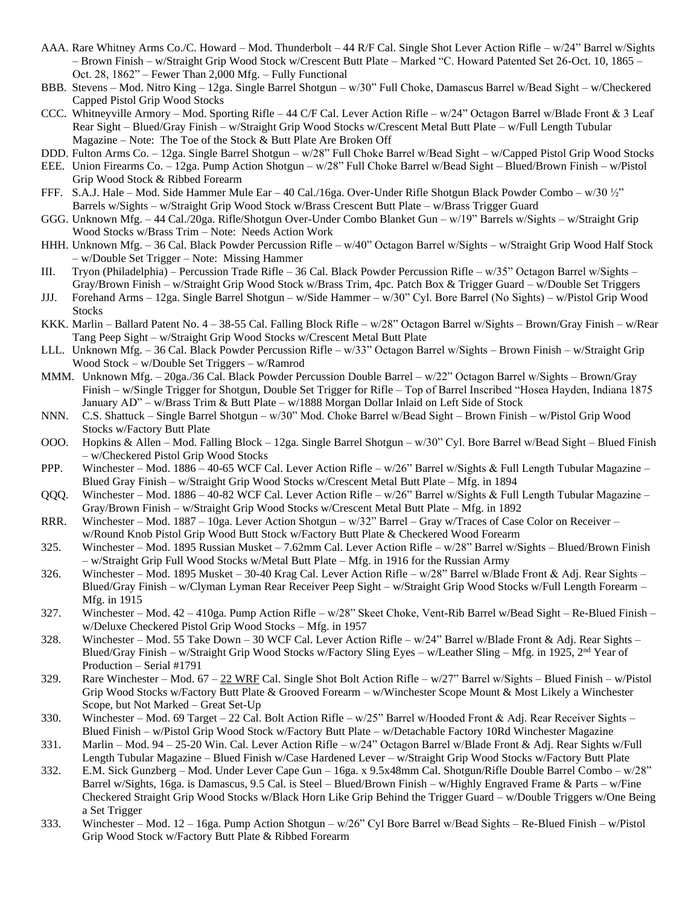- AAA. Rare Whitney Arms Co./C. Howard Mod. Thunderbolt 44 R/F Cal. Single Shot Lever Action Rifle w/24" Barrel w/Sights – Brown Finish – w/Straight Grip Wood Stock w/Crescent Butt Plate – Marked "C. Howard Patented Set 26-Oct. 10, 1865 – Oct. 28, 1862" – Fewer Than 2,000 Mfg. – Fully Functional
- BBB. Stevens Mod. Nitro King 12ga. Single Barrel Shotgun w/30" Full Choke, Damascus Barrel w/Bead Sight w/Checkered Capped Pistol Grip Wood Stocks
- CCC. Whitneyville Armory Mod. Sporting Rifle 44 C/F Cal. Lever Action Rifle w/24" Octagon Barrel w/Blade Front & 3 Leaf Rear Sight – Blued/Gray Finish – w/Straight Grip Wood Stocks w/Crescent Metal Butt Plate – w/Full Length Tubular Magazine – Note: The Toe of the Stock & Butt Plate Are Broken Off
- DDD. Fulton Arms Co. 12ga. Single Barrel Shotgun w/28" Full Choke Barrel w/Bead Sight w/Capped Pistol Grip Wood Stocks
- EEE. Union Firearms Co. 12ga. Pump Action Shotgun w/28" Full Choke Barrel w/Bead Sight Blued/Brown Finish w/Pistol Grip Wood Stock & Ribbed Forearm
- FFF. S.A.J. Hale Mod. Side Hammer Mule Ear 40 Cal./16ga. Over-Under Rifle Shotgun Black Powder Combo w/30 ½" Barrels w/Sights – w/Straight Grip Wood Stock w/Brass Crescent Butt Plate – w/Brass Trigger Guard
- GGG. Unknown Mfg. 44 Cal./20ga. Rifle/Shotgun Over-Under Combo Blanket Gun w/19" Barrels w/Sights w/Straight Grip Wood Stocks w/Brass Trim – Note: Needs Action Work
- HHH. Unknown Mfg. 36 Cal. Black Powder Percussion Rifle w/40" Octagon Barrel w/Sights w/Straight Grip Wood Half Stock – w/Double Set Trigger – Note: Missing Hammer
- III. Tryon (Philadelphia) Percussion Trade Rifle 36 Cal. Black Powder Percussion Rifle w/35" Octagon Barrel w/Sights Gray/Brown Finish – w/Straight Grip Wood Stock w/Brass Trim, 4pc. Patch Box & Trigger Guard – w/Double Set Triggers
- JJJ. Forehand Arms 12ga. Single Barrel Shotgun w/Side Hammer w/30" Cyl. Bore Barrel (No Sights) w/Pistol Grip Wood **Stocks**
- KKK. Marlin Ballard Patent No. 4 38-55 Cal. Falling Block Rifle w/28" Octagon Barrel w/Sights Brown/Gray Finish w/Rear Tang Peep Sight – w/Straight Grip Wood Stocks w/Crescent Metal Butt Plate
- LLL. Unknown Mfg. 36 Cal. Black Powder Percussion Rifle w/33" Octagon Barrel w/Sights Brown Finish w/Straight Grip Wood Stock – w/Double Set Triggers – w/Ramrod
- MMM. Unknown Mfg. 20ga./36 Cal. Black Powder Percussion Double Barrel w/22" Octagon Barrel w/Sights Brown/Gray Finish – w/Single Trigger for Shotgun, Double Set Trigger for Rifle – Top of Barrel Inscribed "Hosea Hayden, Indiana 1875 January AD" – w/Brass Trim & Butt Plate – w/1888 Morgan Dollar Inlaid on Left Side of Stock
- NNN. C.S. Shattuck Single Barrel Shotgun w/30" Mod. Choke Barrel w/Bead Sight Brown Finish w/Pistol Grip Wood Stocks w/Factory Butt Plate
- OOO. Hopkins & Allen Mod. Falling Block 12ga. Single Barrel Shotgun w/30" Cyl. Bore Barrel w/Bead Sight Blued Finish – w/Checkered Pistol Grip Wood Stocks
- PPP. Winchester Mod. 1886 40-65 WCF Cal. Lever Action Rifle w/26" Barrel w/Sights & Full Length Tubular Magazine Blued Gray Finish – w/Straight Grip Wood Stocks w/Crescent Metal Butt Plate – Mfg. in 1894
- QQQ. Winchester Mod. 1886 40-82 WCF Cal. Lever Action Rifle w/26" Barrel w/Sights & Full Length Tubular Magazine Gray/Brown Finish – w/Straight Grip Wood Stocks w/Crescent Metal Butt Plate – Mfg. in 1892
- RRR. Winchester Mod. 1887 10ga. Lever Action Shotgun w/32" Barrel Gray w/Traces of Case Color on Receiver w/Round Knob Pistol Grip Wood Butt Stock w/Factory Butt Plate & Checkered Wood Forearm
- 325. Winchester Mod. 1895 Russian Musket 7.62mm Cal. Lever Action Rifle w/28" Barrel w/Sights Blued/Brown Finish – w/Straight Grip Full Wood Stocks w/Metal Butt Plate – Mfg. in 1916 for the Russian Army
- 326. Winchester Mod. 1895 Musket 30-40 Krag Cal. Lever Action Rifle w/28" Barrel w/Blade Front & Adj. Rear Sights Blued/Gray Finish – w/Clyman Lyman Rear Receiver Peep Sight – w/Straight Grip Wood Stocks w/Full Length Forearm – Mfg. in 1915
- 327. Winchester Mod. 42 410ga. Pump Action Rifle w/28" Skeet Choke, Vent-Rib Barrel w/Bead Sight Re-Blued Finish w/Deluxe Checkered Pistol Grip Wood Stocks – Mfg. in 1957
- 328. Winchester Mod. 55 Take Down 30 WCF Cal. Lever Action Rifle w/24" Barrel w/Blade Front & Adj. Rear Sights Blued/Gray Finish – w/Straight Grip Wood Stocks w/Factory Sling Eyes – w/Leather Sling – Mfg. in 1925,  $2<sup>nd</sup>$  Year of Production – Serial #1791
- 329. Rare Winchester Mod. 67 22 WRF Cal. Single Shot Bolt Action Rifle w/27" Barrel w/Sights Blued Finish w/Pistol Grip Wood Stocks w/Factory Butt Plate & Grooved Forearm – w/Winchester Scope Mount & Most Likely a Winchester Scope, but Not Marked – Great Set-Up
- 330. Winchester Mod. 69 Target 22 Cal. Bolt Action Rifle  $w/25$ " Barrel w/Hooded Front & Adj. Rear Receiver Sights Blued Finish – w/Pistol Grip Wood Stock w/Factory Butt Plate – w/Detachable Factory 10Rd Winchester Magazine
- 331. Marlin Mod. 94 25-20 Win. Cal. Lever Action Rifle w/24" Octagon Barrel w/Blade Front & Adj. Rear Sights w/Full Length Tubular Magazine – Blued Finish w/Case Hardened Lever – w/Straight Grip Wood Stocks w/Factory Butt Plate
- 332. E.M. Sick Gunzberg Mod. Under Lever Cape Gun 16ga. x 9.5x48mm Cal. Shotgun/Rifle Double Barrel Combo w/28" Barrel w/Sights, 16ga. is Damascus, 9.5 Cal. is Steel – Blued/Brown Finish – w/Highly Engraved Frame & Parts – w/Fine Checkered Straight Grip Wood Stocks w/Black Horn Like Grip Behind the Trigger Guard – w/Double Triggers w/One Being a Set Trigger
- 333. Winchester Mod. 12 16ga. Pump Action Shotgun w/26" Cyl Bore Barrel w/Bead Sights Re-Blued Finish w/Pistol Grip Wood Stock w/Factory Butt Plate & Ribbed Forearm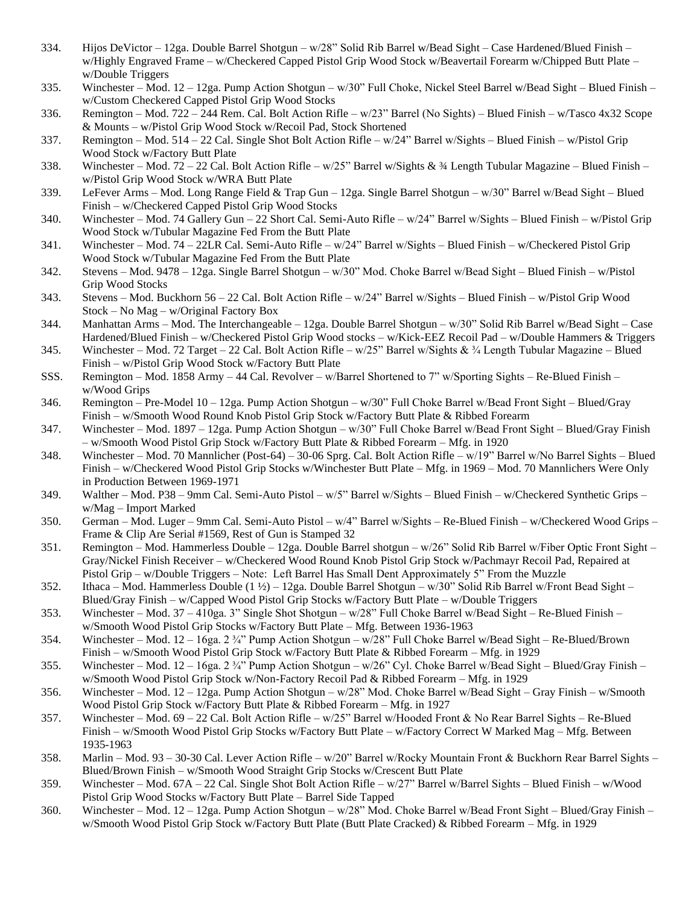- 334. Hijos DeVictor 12ga. Double Barrel Shotgun w/28" Solid Rib Barrel w/Bead Sight Case Hardened/Blued Finish w/Highly Engraved Frame – w/Checkered Capped Pistol Grip Wood Stock w/Beavertail Forearm w/Chipped Butt Plate – w/Double Triggers
- 335. Winchester Mod. 12 12ga. Pump Action Shotgun w/30" Full Choke, Nickel Steel Barrel w/Bead Sight Blued Finish w/Custom Checkered Capped Pistol Grip Wood Stocks
- 336. Remington Mod. 722 244 Rem. Cal. Bolt Action Rifle w/23" Barrel (No Sights) Blued Finish w/Tasco 4x32 Scope & Mounts – w/Pistol Grip Wood Stock w/Recoil Pad, Stock Shortened
- 337. Remington Mod. 514 22 Cal. Single Shot Bolt Action Rifle w/24" Barrel w/Sights Blued Finish w/Pistol Grip Wood Stock w/Factory Butt Plate
- 338. Winchester Mod. 72 22 Cal. Bolt Action Rifle w/25" Barrel w/Sights &  $\frac{3}{4}$  Length Tubular Magazine Blued Finish w/Pistol Grip Wood Stock w/WRA Butt Plate
- 339. LeFever Arms Mod. Long Range Field & Trap Gun 12ga. Single Barrel Shotgun w/30" Barrel w/Bead Sight Blued Finish – w/Checkered Capped Pistol Grip Wood Stocks
- 340. Winchester Mod. 74 Gallery Gun 22 Short Cal. Semi-Auto Rifle w/24" Barrel w/Sights Blued Finish w/Pistol Grip Wood Stock w/Tubular Magazine Fed From the Butt Plate
- 341. Winchester Mod. 74 22LR Cal. Semi-Auto Rifle w/24" Barrel w/Sights Blued Finish w/Checkered Pistol Grip Wood Stock w/Tubular Magazine Fed From the Butt Plate
- 342. Stevens Mod. 9478 12ga. Single Barrel Shotgun w/30" Mod. Choke Barrel w/Bead Sight Blued Finish w/Pistol Grip Wood Stocks
- 343. Stevens Mod. Buckhorn 56 22 Cal. Bolt Action Rifle w/24" Barrel w/Sights Blued Finish w/Pistol Grip Wood Stock – No Mag – w/Original Factory Box
- 344. Manhattan Arms Mod. The Interchangeable 12ga. Double Barrel Shotgun w/30" Solid Rib Barrel w/Bead Sight Case Hardened/Blued Finish – w/Checkered Pistol Grip Wood stocks – w/Kick-EEZ Recoil Pad – w/Double Hammers & Triggers
- 345. Winchester Mod. 72 Target 22 Cal. Bolt Action Rifle w/25" Barrel w/Sights & ¾ Length Tubular Magazine Blued Finish – w/Pistol Grip Wood Stock w/Factory Butt Plate
- SSS. Remington Mod. 1858 Army 44 Cal. Revolver w/Barrel Shortened to 7" w/Sporting Sights Re-Blued Finish w/Wood Grips
- 346. Remington Pre-Model 10 12ga. Pump Action Shotgun w/30" Full Choke Barrel w/Bead Front Sight Blued/Gray Finish – w/Smooth Wood Round Knob Pistol Grip Stock w/Factory Butt Plate & Ribbed Forearm
- 347. Winchester Mod. 1897 12ga. Pump Action Shotgun w/30" Full Choke Barrel w/Bead Front Sight Blued/Gray Finish – w/Smooth Wood Pistol Grip Stock w/Factory Butt Plate & Ribbed Forearm – Mfg. in 1920
- 348. Winchester Mod. 70 Mannlicher (Post-64) 30-06 Sprg. Cal. Bolt Action Rifle w/19" Barrel w/No Barrel Sights Blued Finish – w/Checkered Wood Pistol Grip Stocks w/Winchester Butt Plate – Mfg. in 1969 – Mod. 70 Mannlichers Were Only in Production Between 1969-1971
- 349. Walther Mod. P38 9mm Cal. Semi-Auto Pistol w/5" Barrel w/Sights Blued Finish w/Checkered Synthetic Grips w/Mag – Import Marked
- 350. German Mod. Luger 9mm Cal. Semi-Auto Pistol w/4" Barrel w/Sights Re-Blued Finish w/Checkered Wood Grips Frame & Clip Are Serial #1569, Rest of Gun is Stamped 32
- 351. Remington Mod. Hammerless Double 12ga. Double Barrel shotgun w/26" Solid Rib Barrel w/Fiber Optic Front Sight Gray/Nickel Finish Receiver – w/Checkered Wood Round Knob Pistol Grip Stock w/Pachmayr Recoil Pad, Repaired at Pistol Grip – w/Double Triggers – Note: Left Barrel Has Small Dent Approximately 5" From the Muzzle
- 352. Ithaca Mod. Hammerless Double (1 ½) 12ga. Double Barrel Shotgun w/30" Solid Rib Barrel w/Front Bead Sight Blued/Gray Finish – w/Capped Wood Pistol Grip Stocks w/Factory Butt Plate – w/Double Triggers
- 353. Winchester Mod. 37 410ga. 3" Single Shot Shotgun w/28" Full Choke Barrel w/Bead Sight Re-Blued Finish w/Smooth Wood Pistol Grip Stocks w/Factory Butt Plate – Mfg. Between 1936-1963
- 354. Winchester Mod. 12 16ga. 2 ¾" Pump Action Shotgun w/28" Full Choke Barrel w/Bead Sight Re-Blued/Brown Finish – w/Smooth Wood Pistol Grip Stock w/Factory Butt Plate & Ribbed Forearm – Mfg. in 1929
- 355. Winchester Mod. 12 16ga. 2 ¾" Pump Action Shotgun w/26" Cyl. Choke Barrel w/Bead Sight Blued/Gray Finish w/Smooth Wood Pistol Grip Stock w/Non-Factory Recoil Pad & Ribbed Forearm – Mfg. in 1929
- 356. Winchester Mod. 12 12ga. Pump Action Shotgun w/28" Mod. Choke Barrel w/Bead Sight Gray Finish w/Smooth Wood Pistol Grip Stock w/Factory Butt Plate & Ribbed Forearm – Mfg. in 1927
- 357. Winchester Mod. 69 22 Cal. Bolt Action Rifle w/25" Barrel w/Hooded Front & No Rear Barrel Sights Re-Blued Finish – w/Smooth Wood Pistol Grip Stocks w/Factory Butt Plate – w/Factory Correct W Marked Mag – Mfg. Between 1935-1963
- 358. Marlin Mod. 93 30-30 Cal. Lever Action Rifle w/20" Barrel w/Rocky Mountain Front & Buckhorn Rear Barrel Sights Blued/Brown Finish – w/Smooth Wood Straight Grip Stocks w/Crescent Butt Plate
- 359. Winchester Mod. 67A 22 Cal. Single Shot Bolt Action Rifle w/27" Barrel w/Barrel Sights Blued Finish w/Wood Pistol Grip Wood Stocks w/Factory Butt Plate – Barrel Side Tapped
- 360. Winchester Mod. 12 12ga. Pump Action Shotgun w/28" Mod. Choke Barrel w/Bead Front Sight Blued/Gray Finish w/Smooth Wood Pistol Grip Stock w/Factory Butt Plate (Butt Plate Cracked) & Ribbed Forearm – Mfg. in 1929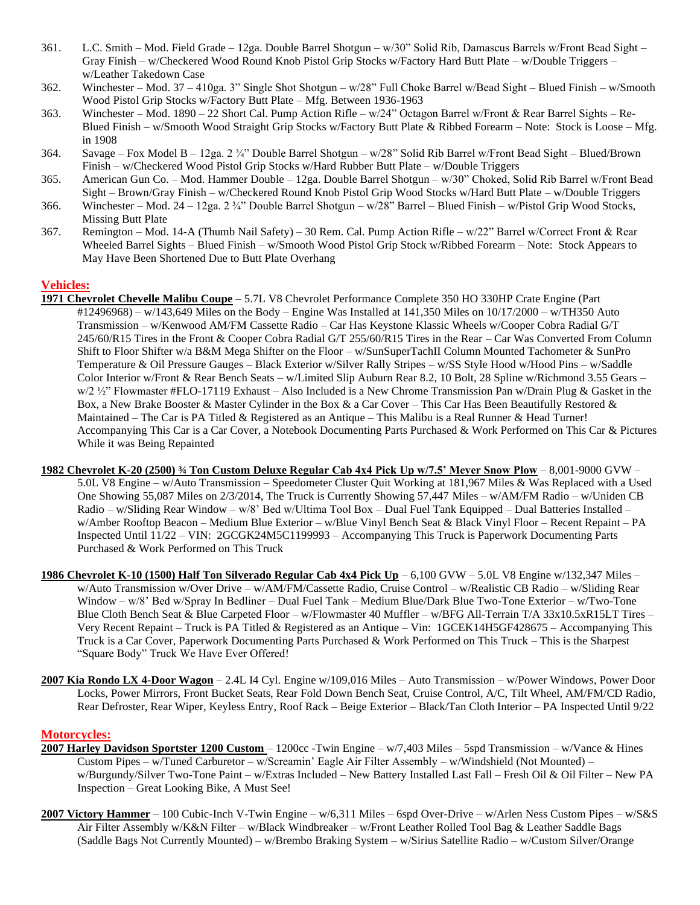- 361. L.C. Smith Mod. Field Grade 12ga. Double Barrel Shotgun w/30" Solid Rib, Damascus Barrels w/Front Bead Sight Gray Finish – w/Checkered Wood Round Knob Pistol Grip Stocks w/Factory Hard Butt Plate – w/Double Triggers – w/Leather Takedown Case
- 362. Winchester Mod. 37 410ga. 3" Single Shot Shotgun w/28" Full Choke Barrel w/Bead Sight Blued Finish w/Smooth Wood Pistol Grip Stocks w/Factory Butt Plate – Mfg. Between 1936-1963
- 363. Winchester Mod. 1890 22 Short Cal. Pump Action Rifle w/24" Octagon Barrel w/Front & Rear Barrel Sights Re-Blued Finish – w/Smooth Wood Straight Grip Stocks w/Factory Butt Plate & Ribbed Forearm – Note: Stock is Loose – Mfg. in 1908
- 364. Savage Fox Model B 12ga. 2 ¾" Double Barrel Shotgun w/28" Solid Rib Barrel w/Front Bead Sight Blued/Brown Finish – w/Checkered Wood Pistol Grip Stocks w/Hard Rubber Butt Plate – w/Double Triggers
- 365. American Gun Co. Mod. Hammer Double 12ga. Double Barrel Shotgun w/30" Choked, Solid Rib Barrel w/Front Bead Sight – Brown/Gray Finish – w/Checkered Round Knob Pistol Grip Wood Stocks w/Hard Butt Plate – w/Double Triggers
- 366. Winchester Mod. 24 12ga. 2 ¾" Double Barrel Shotgun w/28" Barrel Blued Finish w/Pistol Grip Wood Stocks, Missing Butt Plate
- 367. Remington Mod. 14-A (Thumb Nail Safety) 30 Rem. Cal. Pump Action Rifle w/22" Barrel w/Correct Front & Rear Wheeled Barrel Sights – Blued Finish – w/Smooth Wood Pistol Grip Stock w/Ribbed Forearm – Note: Stock Appears to May Have Been Shortened Due to Butt Plate Overhang

#### **Vehicles:**

- **1971 Chevrolet Chevelle Malibu Coupe** 5.7L V8 Chevrolet Performance Complete 350 HO 330HP Crate Engine (Part  $\#12496968$  – w/143,649 Miles on the Body – Engine Was Installed at 141,350 Miles on  $10/17/2000$  – w/TH350 Auto Transmission – w/Kenwood AM/FM Cassette Radio – Car Has Keystone Klassic Wheels w/Cooper Cobra Radial G/T 245/60/R15 Tires in the Front & Cooper Cobra Radial G/T 255/60/R15 Tires in the Rear – Car Was Converted From Column Shift to Floor Shifter w/a B&M Mega Shifter on the Floor – w/SunSuperTachII Column Mounted Tachometer & SunPro Temperature & Oil Pressure Gauges – Black Exterior w/Silver Rally Stripes – w/SS Style Hood w/Hood Pins – w/Saddle Color Interior w/Front & Rear Bench Seats – w/Limited Slip Auburn Rear 8.2, 10 Bolt, 28 Spline w/Richmond 3.55 Gears – w/2 1/2" Flowmaster #FLO-17119 Exhaust – Also Included is a New Chrome Transmission Pan w/Drain Plug & Gasket in the Box, a New Brake Booster & Master Cylinder in the Box & a Car Cover – This Car Has Been Beautifully Restored & Maintained – The Car is PA Titled & Registered as an Antique – This Malibu is a Real Runner & Head Turner! Accompanying This Car is a Car Cover, a Notebook Documenting Parts Purchased & Work Performed on This Car & Pictures While it was Being Repainted
- **1982 Chevrolet K-20 (2500) ¾ Ton Custom Deluxe Regular Cab 4x4 Pick Up w/7.5' Meyer Snow Plow** 8,001-9000 GVW 5.0L V8 Engine – w/Auto Transmission – Speedometer Cluster Quit Working at 181,967 Miles & Was Replaced with a Used One Showing 55,087 Miles on 2/3/2014, The Truck is Currently Showing 57,447 Miles – w/AM/FM Radio – w/Uniden CB Radio – w/Sliding Rear Window – w/8' Bed w/Ultima Tool Box – Dual Fuel Tank Equipped – Dual Batteries Installed – w/Amber Rooftop Beacon – Medium Blue Exterior – w/Blue Vinyl Bench Seat & Black Vinyl Floor – Recent Repaint – PA Inspected Until 11/22 – VIN: 2GCGK24M5C1199993 – Accompanying This Truck is Paperwork Documenting Parts Purchased & Work Performed on This Truck
- **1986 Chevrolet K-10 (1500) Half Ton Silverado Regular Cab 4x4 Pick Up** 6,100 GVW 5.0L V8 Engine w/132,347 Miles w/Auto Transmission w/Over Drive – w/AM/FM/Cassette Radio, Cruise Control – w/Realistic CB Radio – w/Sliding Rear Window – w/8' Bed w/Spray In Bedliner – Dual Fuel Tank – Medium Blue/Dark Blue Two-Tone Exterior – w/Two-Tone Blue Cloth Bench Seat & Blue Carpeted Floor – w/Flowmaster 40 Muffler – w/BFG All-Terrain T/A 33x10.5xR15LT Tires – Very Recent Repaint – Truck is PA Titled & Registered as an Antique – Vin: 1GCEK14H5GF428675 – Accompanying This Truck is a Car Cover, Paperwork Documenting Parts Purchased & Work Performed on This Truck – This is the Sharpest "Square Body" Truck We Have Ever Offered!
- **2007 Kia Rondo LX 4-Door Wagon** 2.4L I4 Cyl. Engine w/109,016 Miles Auto Transmission w/Power Windows, Power Door Locks, Power Mirrors, Front Bucket Seats, Rear Fold Down Bench Seat, Cruise Control, A/C, Tilt Wheel, AM/FM/CD Radio, Rear Defroster, Rear Wiper, Keyless Entry, Roof Rack – Beige Exterior – Black/Tan Cloth Interior – PA Inspected Until 9/22

#### **Motorcycles:**

- **2007 Harley Davidson Sportster 1200 Custom**  1200cc -Twin Engine w/7,403 Miles 5spd Transmission w/Vance & Hines Custom Pipes – w/Tuned Carburetor – w/Screamin' Eagle Air Filter Assembly – w/Windshield (Not Mounted) – w/Burgundy/Silver Two-Tone Paint – w/Extras Included – New Battery Installed Last Fall – Fresh Oil & Oil Filter – New PA Inspection – Great Looking Bike, A Must See!
- **2007 Victory Hammer** 100 Cubic-Inch V-Twin Engine w/6,311 Miles 6spd Over-Drive w/Arlen Ness Custom Pipes w/S&S Air Filter Assembly w/K&N Filter – w/Black Windbreaker – w/Front Leather Rolled Tool Bag & Leather Saddle Bags (Saddle Bags Not Currently Mounted) – w/Brembo Braking System – w/Sirius Satellite Radio – w/Custom Silver/Orange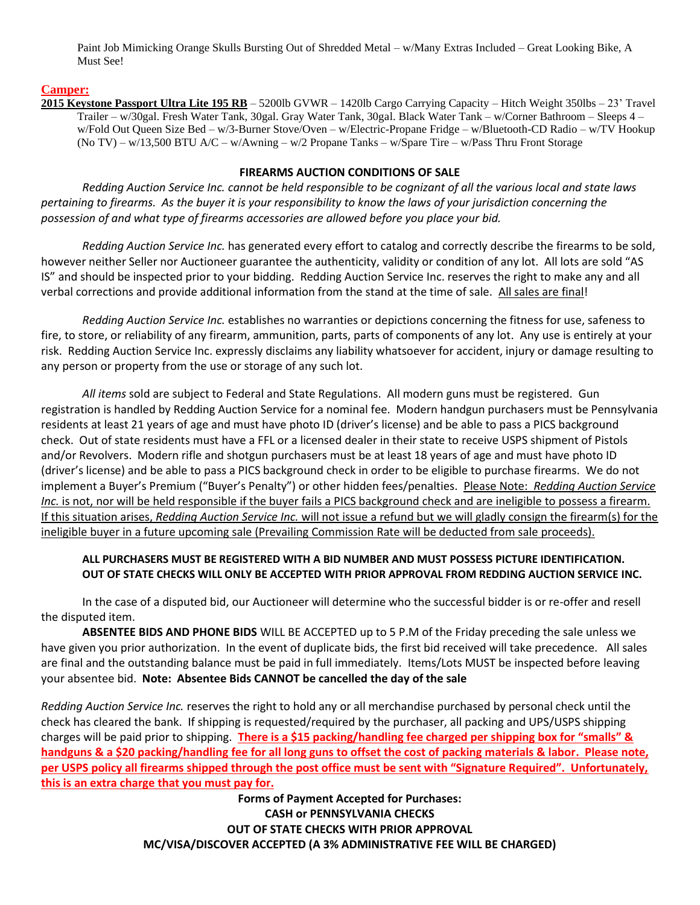Paint Job Mimicking Orange Skulls Bursting Out of Shredded Metal – w/Many Extras Included – Great Looking Bike, A Must See!

#### **Camper:**

**2015 Keystone Passport Ultra Lite 195 RB** – 5200lb GVWR – 1420lb Cargo Carrying Capacity – Hitch Weight 350lbs – 23' Travel Trailer – w/30gal. Fresh Water Tank, 30gal. Gray Water Tank, 30gal. Black Water Tank – w/Corner Bathroom – Sleeps 4 – w/Fold Out Queen Size Bed – w/3-Burner Stove/Oven – w/Electric-Propane Fridge – w/Bluetooth-CD Radio – w/TV Hookup (No TV) – w/13,500 BTU A/C – w/Awning – w/2 Propane Tanks – w/Spare Tire – w/Pass Thru Front Storage

#### **FIREARMS AUCTION CONDITIONS OF SALE**

*Redding Auction Service Inc. cannot be held responsible to be cognizant of all the various local and state laws pertaining to firearms. As the buyer it is your responsibility to know the laws of your jurisdiction concerning the possession of and what type of firearms accessories are allowed before you place your bid.*

*Redding Auction Service Inc.* has generated every effort to catalog and correctly describe the firearms to be sold, however neither Seller nor Auctioneer guarantee the authenticity, validity or condition of any lot. All lots are sold "AS IS" and should be inspected prior to your bidding. Redding Auction Service Inc. reserves the right to make any and all verbal corrections and provide additional information from the stand at the time of sale. All sales are final!

*Redding Auction Service Inc.* establishes no warranties or depictions concerning the fitness for use, safeness to fire, to store, or reliability of any firearm, ammunition, parts, parts of components of any lot. Any use is entirely at your risk. Redding Auction Service Inc. expressly disclaims any liability whatsoever for accident, injury or damage resulting to any person or property from the use or storage of any such lot.

*All items* sold are subject to Federal and State Regulations. All modern guns must be registered. Gun registration is handled by Redding Auction Service for a nominal fee. Modern handgun purchasers must be Pennsylvania residents at least 21 years of age and must have photo ID (driver's license) and be able to pass a PICS background check. Out of state residents must have a FFL or a licensed dealer in their state to receive USPS shipment of Pistols and/or Revolvers. Modern rifle and shotgun purchasers must be at least 18 years of age and must have photo ID (driver's license) and be able to pass a PICS background check in order to be eligible to purchase firearms. We do not implement a Buyer's Premium ("Buyer's Penalty") or other hidden fees/penalties. Please Note: *Redding Auction Service Inc.* is not, nor will be held responsible if the buyer fails a PICS background check and are ineligible to possess a firearm. If this situation arises, *Redding Auction Service Inc.* will not issue a refund but we will gladly consign the firearm(s) for the ineligible buyer in a future upcoming sale (Prevailing Commission Rate will be deducted from sale proceeds).

#### **ALL PURCHASERS MUST BE REGISTERED WITH A BID NUMBER AND MUST POSSESS PICTURE IDENTIFICATION. OUT OF STATE CHECKS WILL ONLY BE ACCEPTED WITH PRIOR APPROVAL FROM REDDING AUCTION SERVICE INC.**

In the case of a disputed bid, our Auctioneer will determine who the successful bidder is or re-offer and resell the disputed item.

**ABSENTEE BIDS AND PHONE BIDS** WILL BE ACCEPTED up to 5 P.M of the Friday preceding the sale unless we have given you prior authorization. In the event of duplicate bids, the first bid received will take precedence. All sales are final and the outstanding balance must be paid in full immediately. Items/Lots MUST be inspected before leaving your absentee bid. **Note: Absentee Bids CANNOT be cancelled the day of the sale**

*Redding Auction Service Inc.* reserves the right to hold any or all merchandise purchased by personal check until the check has cleared the bank. If shipping is requested/required by the purchaser, all packing and UPS/USPS shipping charges will be paid prior to shipping. **There is a \$15 packing/handling fee charged per shipping box for "smalls" & handguns & a \$20 packing/handling fee for all long guns to offset the cost of packing materials & labor. Please note, per USPS policy all firearms shipped through the post office must be sent with "Signature Required". Unfortunately, this is an extra charge that you must pay for.**

> **Forms of Payment Accepted for Purchases: CASH or PENNSYLVANIA CHECKS OUT OF STATE CHECKS WITH PRIOR APPROVAL MC/VISA/DISCOVER ACCEPTED (A 3% ADMINISTRATIVE FEE WILL BE CHARGED)**